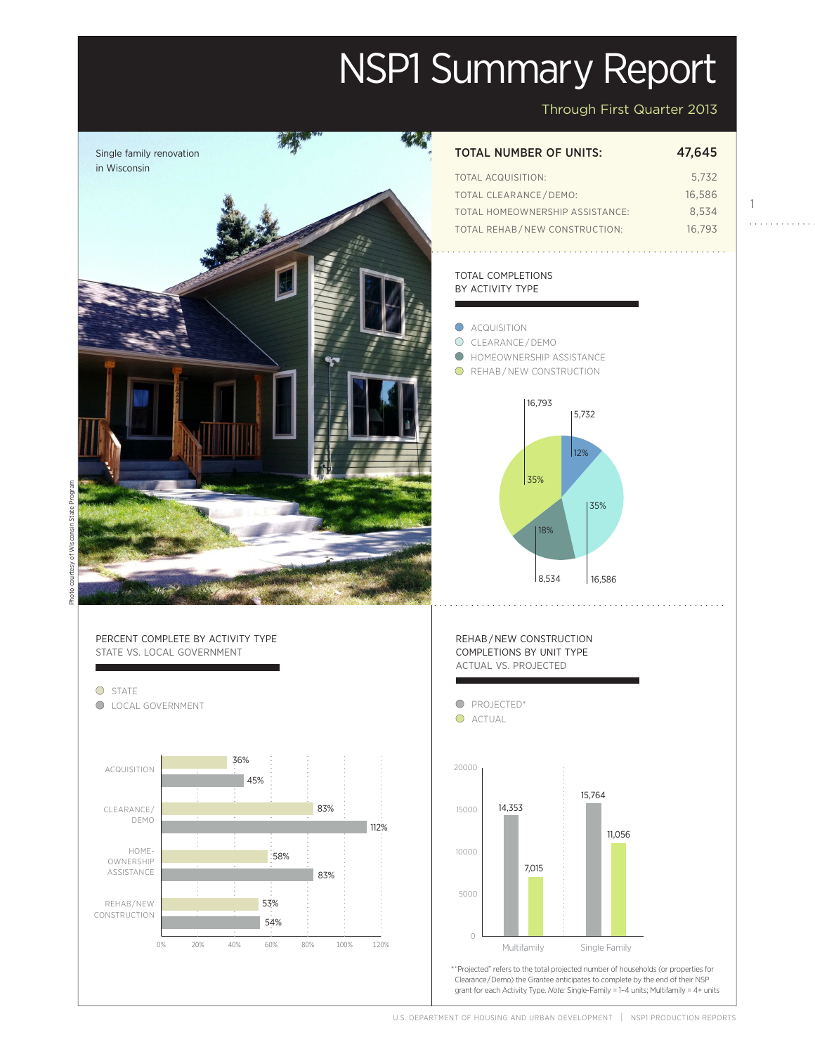# NSP1 Summary Report

Through First Quarter 2013

1

 $\mathcal{L}$  . The second second second second  $\mathcal{L}$ 



U.S. DEPARTMENT OF HOUSING AND URBAN DEVELOPMENT | NSP1 PRODUCTION REPORT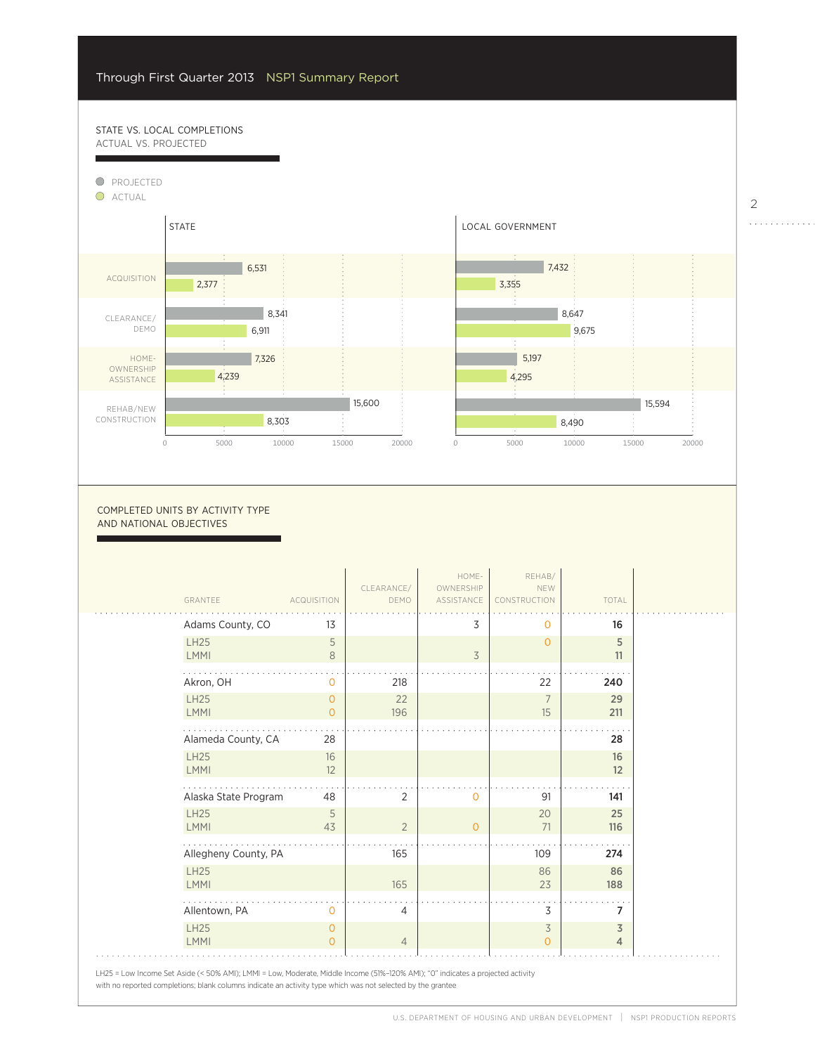$\overline{a}$ 

54%

## STATE VS. LOCAL COMPLETIONS actual vs. projected



0

7,015

#### COMPLETED UNITS BY ACTIVITY TYPE and national objectives

| GRANTEE                    | <b>ACQUISITION</b> | CLEARANCE/<br>DEMO | HOME-<br>OWNERSHIP<br>ASSISTANCE | REHAB/<br>NEW<br>CONSTRUCTION | TOTAL     |
|----------------------------|--------------------|--------------------|----------------------------------|-------------------------------|-----------|
| Adams County, CO           | 13                 |                    | 3                                | $\Omega$                      | 16        |
| <b>LH25</b><br><b>LMMI</b> | 5<br>8             |                    | 3                                | $\Omega$                      | 5<br>11   |
|                            |                    |                    |                                  |                               |           |
| Akron, OH                  | 0                  | 218                |                                  | 22                            | 240       |
| <b>LH25</b><br><b>LMMI</b> | 0<br>$\Omega$      | 22<br>196          |                                  | 7<br>15                       | 29<br>211 |
| Alameda County, CA         | 28                 |                    |                                  |                               | 28        |
| <b>LH25</b><br><b>LMMI</b> | 16<br>12           |                    |                                  |                               | 16<br>12  |
| Alaska State Program       | 48                 | 2                  | $\overline{0}$                   | 91                            | 141       |
| <b>LH25</b><br><b>LMMI</b> | 5<br>43            | $\overline{2}$     | $\circ$                          | 20<br>71                      | 25<br>116 |
| Allegheny County, PA       |                    | 165                |                                  | 109                           | 274       |
| <b>LH25</b><br><b>LMMI</b> |                    | 165                |                                  | 86<br>23                      | 86<br>188 |
| Allentown, PA              | 0                  | 4                  |                                  | 3                             | 7         |
| <b>LH25</b><br><b>LMMI</b> | 0<br>$\Omega$      | $\overline{4}$     |                                  | 3<br>$\Omega$                 | 3<br>4    |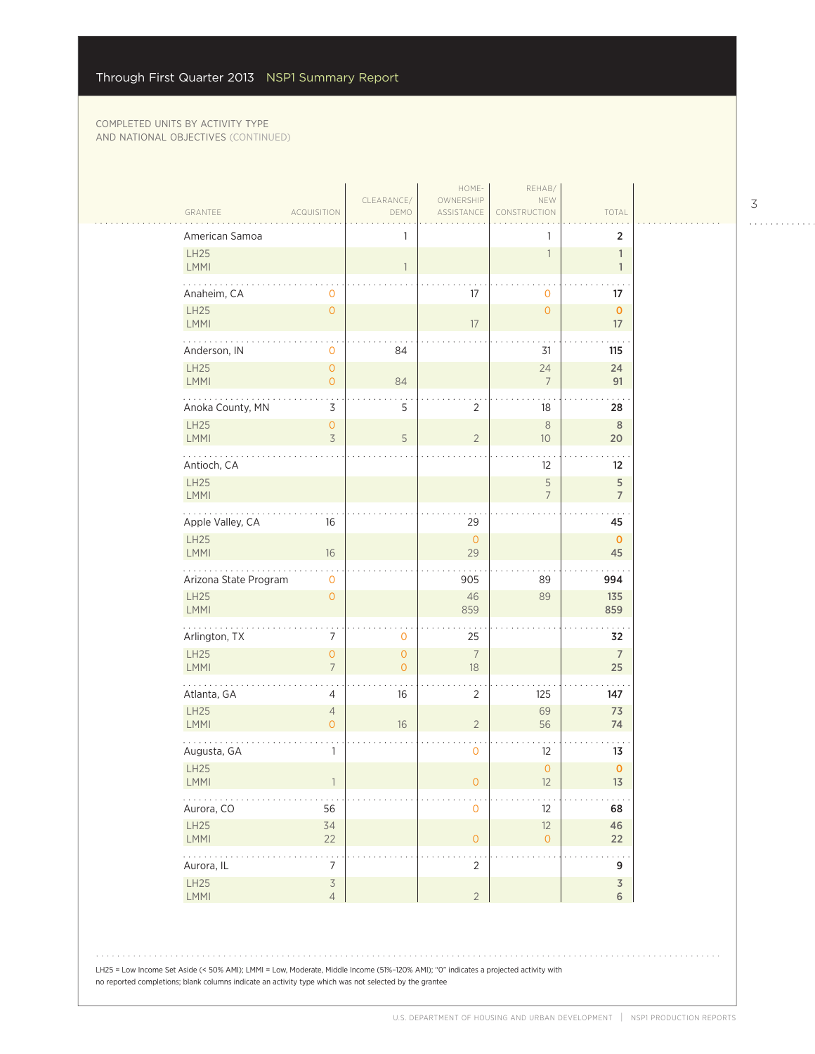$\sim$  .

| GRANTEE                   | <b>ACQUISITION</b>                              | DEMO                      | OWNERSHIP<br>ASSISTANCE  | CONSTRUCTION                  | TOTAL                        |
|---------------------------|-------------------------------------------------|---------------------------|--------------------------|-------------------------------|------------------------------|
| American Samoa            |                                                 | 1                         |                          | 1                             | 2                            |
| LH25<br>LMMI              |                                                 | $\mathbf{1}$              |                          | $\mathbf{1}$                  | $\mathbf{1}$<br>$\mathbf{1}$ |
| Anaheim, CA               | $\mathbf 0$                                     |                           | 17                       | $\mathbf 0$                   | 17                           |
| LH25<br>LMMI              | $\overline{O}$                                  |                           | $17\,$                   | $\circ$                       | $\mathbf 0$<br>$17\,$        |
| Anderson, IN              | 0                                               | 84                        |                          | 31                            | 115                          |
| LH25<br>LMMI              | $\overline{O}$<br>$\overline{O}$                | 84                        |                          | 24<br>$\overline{7}$          | 24<br>91                     |
| Anoka County, MN          | 3                                               | 5                         | $\overline{c}$           | 18                            | 28                           |
| LH25<br>LMMI              | $\mathsf{O}\xspace$<br>$\overline{\mathcal{S}}$ | 5                         | $\overline{2}$           | $\,8\,$<br>10                 | 8<br>20                      |
| Antioch, CA               |                                                 |                           |                          | 12                            | 12                           |
| LH25<br>LMMI              |                                                 |                           |                          | $\mathsf S$<br>$\overline{7}$ | 5<br>$\overline{7}$          |
| .<br>Apple Valley, CA     | 16                                              |                           | 29                       |                               | 45                           |
| LH25<br>LMMI              | 16                                              |                           | $\overline{0}$<br>29     |                               | $\mathbf{O}$<br>45           |
| Arizona State Program     | $\mathbf{O}$                                    |                           | $\ddotsc$<br>905         | 89                            | 994                          |
| LH25<br>LMMI              | $\mathsf{O}\xspace$                             |                           | 46<br>859                | 89                            | 135<br>859                   |
| .<br>Arlington, TX        | 7                                               | $\mathbf 0$               | 25                       |                               | 32                           |
| <b>LH25</b><br>LMMI       | $\overline{O}$<br>$\overline{7}$                | $\circ$<br>$\overline{O}$ | $\overline{7}$<br>$18\,$ |                               | $\overline{7}$<br>25         |
| Atlanta, GA               | 4                                               | 16                        | 2                        | 125                           | 147                          |
| LH25<br>LMMI              | $\overline{4}$<br>0                             | $16\,$                    | $\sqrt{2}$               | 69<br>56                      | 73<br>74                     |
| Augusta, GA               | 1                                               |                           | $\mathbf 0$              | 12                            | 13                           |
| LH25<br>LMMI              |                                                 |                           | $\mathsf{O}\xspace$      | $\mathsf{O}\xspace$<br>12     | $\pmb{0}$<br>13              |
| .<br>Aurora, CO           | 56                                              |                           | $\mathsf{O}\xspace$      | 12                            | 68                           |
| LH25<br>LMMI              | 34<br>22                                        |                           | $\mathsf{O}\xspace$      | 12<br>$\overline{O}$          | 46<br>22                     |
| 1.1.1.1.1.1<br>Aurora, IL | $\cdot$ $\,$ .<br>$\overline{7}$                |                           | ÷,<br>$\overline{2}$     |                               | 9                            |
| LH25<br>LMMI              | $\overline{3}$<br>$\overline{4}$                |                           | $\overline{2}$           |                               | $\overline{3}$<br>6          |

LH25 = Low Income Set Aside (< 50% AMI); LMMI = Low, Moderate, Middle Income (51%–120% AMI); "0" indicates a projected activity with no reported completions; blank columns indicate an activity type which was not selected by the grantee

3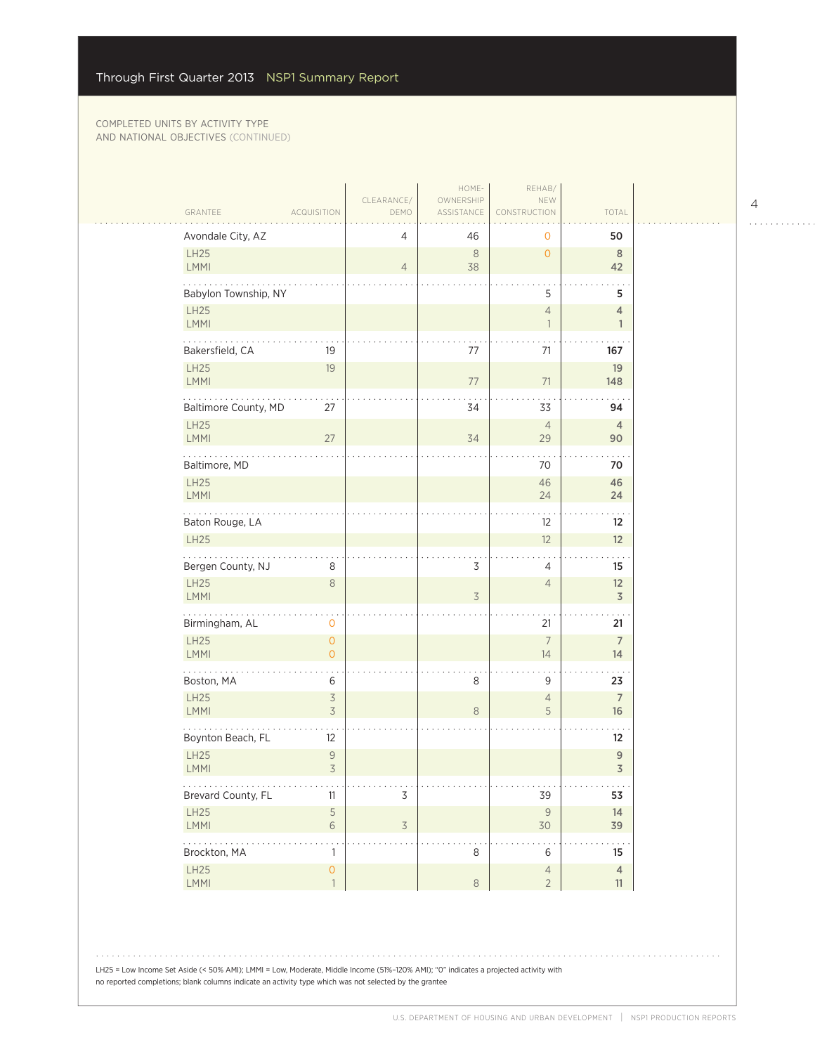$\sim 100$ 

|                            |                                                      | CLEARANCE/               | HOME-<br>OWNERSHIP       | REHAB/<br>NEW                              |                                    |
|----------------------------|------------------------------------------------------|--------------------------|--------------------------|--------------------------------------------|------------------------------------|
| GRANTEE                    | <b>ACQUISITION</b>                                   | DEMO                     | ASSISTANCE               | CONSTRUCTION                               | TOTAL                              |
| Avondale City, AZ          |                                                      | 4                        | 46                       | 0                                          | 50                                 |
| LH25<br><b>LMMI</b>        |                                                      | $\overline{4}$           | $\,8\,$<br>38            | $\overline{O}$                             | 8<br>42                            |
| Babylon Township, NY       |                                                      |                          |                          | 5                                          | 5                                  |
| LH25<br><b>LMMI</b>        |                                                      |                          |                          | $\overline{4}$<br>$\overline{\phantom{a}}$ | 4<br>$\mathbf{1}$                  |
| Bakersfield, CA            | 19                                                   |                          | 77                       | 71                                         | 167                                |
| LH25<br><b>LMMI</b>        | 19                                                   |                          | 77                       | 71                                         | 19<br>148                          |
| Baltimore County, MD       | 27                                                   |                          | 34                       | 33                                         | 94                                 |
| <b>LH25</b><br><b>LMMI</b> | 27                                                   |                          | 34                       | $\overline{4}$<br>29                       | $\overline{4}$<br>90               |
| Baltimore, MD              |                                                      |                          |                          | 70                                         | 70                                 |
| LH25<br>LMMI               |                                                      |                          |                          | 46<br>24                                   | 46<br>24                           |
| Baton Rouge, LA            |                                                      |                          |                          | 12                                         | 12                                 |
| <b>LH25</b>                |                                                      |                          |                          | 12                                         | 12                                 |
| Bergen County, NJ          | 8                                                    |                          | 3                        | 4                                          | 15                                 |
| LH25<br><b>LMMI</b>        | $\,8\,$                                              |                          | $\overline{\mathcal{S}}$ | $\overline{4}$                             | 12<br>$\overline{3}$               |
| Birmingham, AL             | 0                                                    |                          |                          | 21                                         | 21                                 |
| <b>LH25</b><br>LMMI        | $\overline{0}$<br>$\overline{0}$                     |                          |                          | $\overline{7}$<br>14                       | $\overline{7}$<br>14               |
| Boston, MA                 | 6                                                    |                          | 8                        | 9                                          | 23                                 |
| LH25<br>LMMI               | $\overline{\mathcal{S}}$<br>$\overline{\mathcal{S}}$ |                          | $\,8\,$                  | $\overline{4}$<br>5                        | $\overline{7}$<br>16               |
| Boynton Beach, FL          | 12                                                   |                          |                          |                                            | 12                                 |
| LH25<br>LMMI               | $\mathsf{9}$<br>$\overline{3}$                       |                          |                          |                                            | $\boldsymbol{9}$<br>$\overline{3}$ |
| .<br>Brevard County, FL    | .<br>$11\,$                                          | $\mathsf 3$              |                          | .<br>39                                    | .<br>53                            |
| LH25<br>LMMI               | $\mathsf S$<br>$\,$ $\,$ $\,$                        | $\overline{\mathcal{S}}$ |                          | $\mathsf{9}$<br>$30$                       | 14<br>39                           |
| .<br>Brockton, MA          | 1                                                    |                          | 8                        | 6                                          | .<br>15                            |
| LH25<br>LMMI               | $\overline{O}$<br>$\overline{1}$                     |                          | $\,8\,$                  | $\overline{4}$<br>$\overline{2}$           | $\overline{4}$<br>11               |
|                            |                                                      |                          |                          |                                            |                                    |

4

 $\begin{array}{cccccccccccccc} . & . & . & . & . & . & . & . & . & . & . & . & . \end{array}$ 

LH25 = Low Income Set Aside (< 50% AMI); LMMI = Low, Moderate, Middle Income (51%–120% AMI); "0" indicates a projected activity with no reported completions; blank columns indicate an activity type which was not selected by the grantee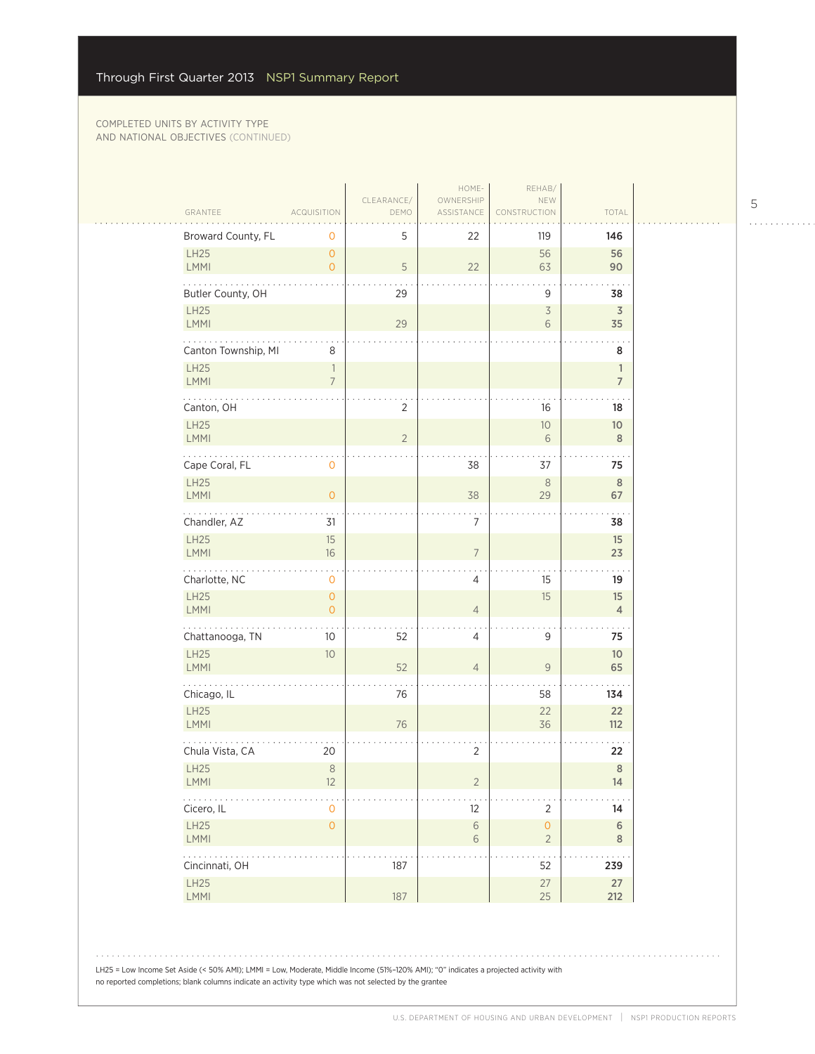#### COMPLETED UNITS BY ACTIVITY TYPE AND NATIONAL OBJECTIVES (CONTINUED)

|                                                                                                                                                                                                                                                                                                                                                                                                                                |                                            |                    | HOME-                   | REHAB/                                 |                                |  |
|--------------------------------------------------------------------------------------------------------------------------------------------------------------------------------------------------------------------------------------------------------------------------------------------------------------------------------------------------------------------------------------------------------------------------------|--------------------------------------------|--------------------|-------------------------|----------------------------------------|--------------------------------|--|
| GRANTEE                                                                                                                                                                                                                                                                                                                                                                                                                        | <b>ACQUISITION</b>                         | CLEARANCE/<br>DEMO | OWNERSHIP<br>ASSISTANCE | NEW<br>CONSTRUCTION                    | TOTAL                          |  |
| Broward County, FL                                                                                                                                                                                                                                                                                                                                                                                                             | 0                                          | 5                  | 22                      | 119                                    | 146                            |  |
| LH25<br>LMMI                                                                                                                                                                                                                                                                                                                                                                                                                   | $\overline{O}$<br>$\overline{0}$           | 5                  | 22                      | 56<br>63                               | 56<br>90                       |  |
| Butler County, OH                                                                                                                                                                                                                                                                                                                                                                                                              |                                            | 29                 |                         | 9                                      | 38                             |  |
| LH25<br>LMMI                                                                                                                                                                                                                                                                                                                                                                                                                   |                                            | 29                 |                         | $\overline{\mathcal{S}}$<br>$\sqrt{6}$ | $\mathfrak Z$<br>35            |  |
| .<br>Canton Township, MI                                                                                                                                                                                                                                                                                                                                                                                                       | 8                                          |                    |                         |                                        | 8                              |  |
| LH25<br>LMMI                                                                                                                                                                                                                                                                                                                                                                                                                   | $\overline{\phantom{a}}$<br>$\overline{7}$ |                    |                         |                                        | $\mathbb{1}$<br>$\overline{7}$ |  |
| Canton, OH                                                                                                                                                                                                                                                                                                                                                                                                                     |                                            | 2                  |                         | 16                                     | 18                             |  |
| LH25<br>LMMI                                                                                                                                                                                                                                                                                                                                                                                                                   |                                            | $\overline{2}$     |                         | $10$<br>6                              | $10$<br>8                      |  |
| Cape Coral, FL                                                                                                                                                                                                                                                                                                                                                                                                                 | 0                                          |                    | 38                      | 37                                     | 75                             |  |
| LH25                                                                                                                                                                                                                                                                                                                                                                                                                           |                                            |                    |                         | 8                                      | $\,$ 8 $\,$                    |  |
| <b>LMMI</b><br>.                                                                                                                                                                                                                                                                                                                                                                                                               | $\overline{O}$                             |                    | 38                      | 29                                     | 67                             |  |
| Chandler, AZ<br>LH25                                                                                                                                                                                                                                                                                                                                                                                                           | 31<br>15                                   |                    | $\overline{7}$          |                                        | 38<br>15                       |  |
| LMMI                                                                                                                                                                                                                                                                                                                                                                                                                           | 16                                         |                    | $\overline{7}$          |                                        | 23                             |  |
| Charlotte, NC                                                                                                                                                                                                                                                                                                                                                                                                                  | $\mathsf{O}\xspace$                        |                    | 4                       | 15                                     | 19                             |  |
| LH25<br><b>LMMI</b>                                                                                                                                                                                                                                                                                                                                                                                                            | $\mathsf{O}\xspace$<br>$\overline{0}$      |                    | $\overline{4}$          | 15                                     | 15<br>$\overline{4}$           |  |
| .<br>Chattanooga, TN                                                                                                                                                                                                                                                                                                                                                                                                           | 10                                         | 52                 | 4                       | 9                                      | 75                             |  |
| LH25<br><b>LMMI</b>                                                                                                                                                                                                                                                                                                                                                                                                            | 10                                         | 52                 | $\overline{4}$          | $\mathsf{9}$                           | 10 <sup>°</sup><br>65          |  |
| Chicago, IL                                                                                                                                                                                                                                                                                                                                                                                                                    |                                            | 76                 |                         | 58                                     | 134                            |  |
| <b>LH25</b><br><b>LMMI</b>                                                                                                                                                                                                                                                                                                                                                                                                     |                                            | 76                 |                         | 22<br>36                               | 22<br>$112$                    |  |
| Chula Vista, CA                                                                                                                                                                                                                                                                                                                                                                                                                | 20                                         |                    | $\overline{2}$          |                                        | 22                             |  |
| LH25                                                                                                                                                                                                                                                                                                                                                                                                                           | $\,8\,$                                    |                    |                         |                                        | $\,$ 8 $\,$                    |  |
| <b>LMMI</b><br>$\mathbb{Z}^2$ . The set of $\mathbb{Z}^2$                                                                                                                                                                                                                                                                                                                                                                      | 12                                         |                    | $\overline{2}$          |                                        | 14                             |  |
| Cicero, IL<br>LH25                                                                                                                                                                                                                                                                                                                                                                                                             | $\mathsf{O}\xspace$<br>$\mathsf{O}\xspace$ |                    | 12<br>$\sqrt{6}$        | $\overline{2}$<br>$\mathsf{O}\xspace$  | 14<br>$\,$ 6 $\,$              |  |
| LMMI<br>$\mathbb{E}[\mathbb{E}[\mathbb{E}[\mathbb{E}[\mathbb{E}[\mathbb{E}[\mathbb{E}[\mathbb{E}[\mathbb{E}[\mathbb{E}[\mathbb{E}[\mathbb{E}[\mathbb{E}[\mathbb{E}[\mathbb{E}[\mathbb{E}[\mathbb{E}[\mathbb{E}[\mathbb{E}[\mathbb{E}[\mathbb{E}[\mathbb{E}[\mathbb{E}[\mathbb{E}[\mathbb{E}[\mathbb{E}[\mathbb{E}[\mathbb{E}[\mathbb{E}[\mathbb{E}[\mathbb{E}[\mathbb{E}[\mathbb{E}[\mathbb{E}[\mathbb{E}[\mathbb{E}[\mathbb{$ |                                            |                    | $\,$ $\,$ $\,$          | $\overline{2}$                         | $\,$ 8 $\,$                    |  |
| Cincinnati, OH                                                                                                                                                                                                                                                                                                                                                                                                                 |                                            | 187                |                         | 52                                     | 239                            |  |
| LH25<br>LMMI                                                                                                                                                                                                                                                                                                                                                                                                                   |                                            | 187                |                         | 27<br>25                               | $27\,$<br>212                  |  |

LH25 = Low Income Set Aside (< 50% AMI); LMMI = Low, Moderate, Middle Income (51%-120% AMI); "0" indicates a projected activity with no reported completions; blank columns indicate an activity type which was not selected by the grantee

5

 $\begin{array}{cccccccccccccc} . & . & . & . & . & . & . & . & . & . & . & . & . \end{array}$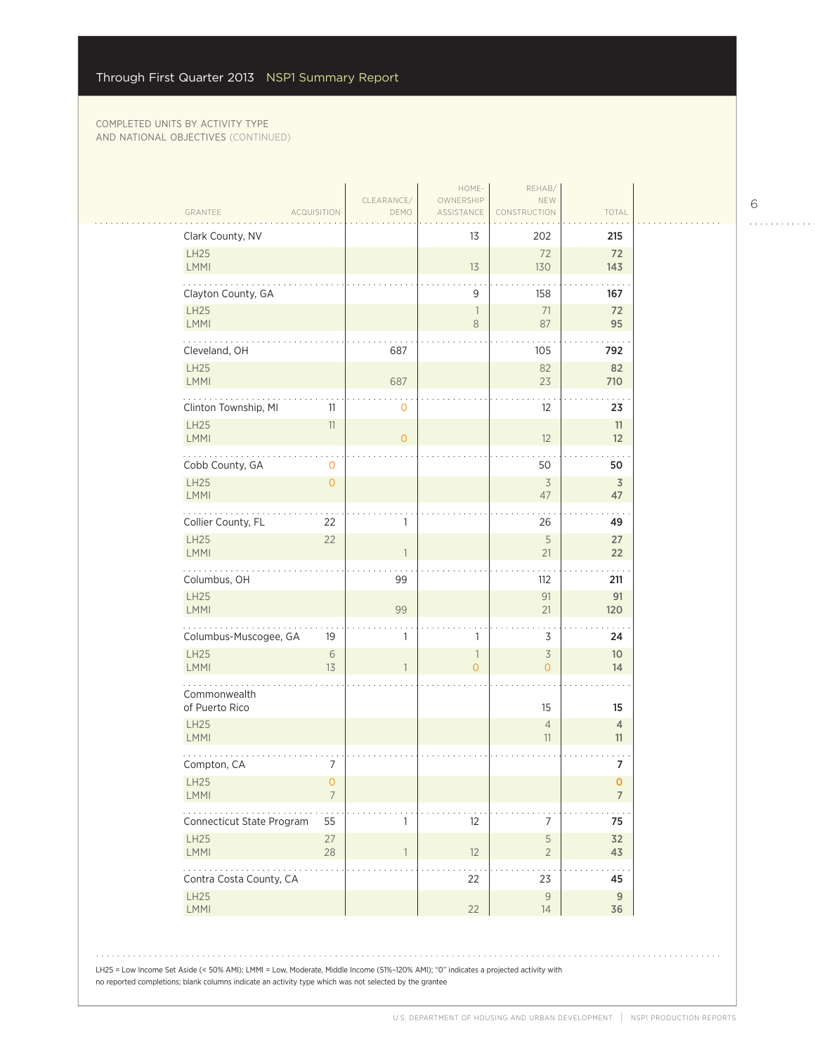|                                       | <b>ACQUISITION</b>        | DEMO           | ASSISTANCE                                 | CONSTRUCTION                        | TOTAL                          |
|---------------------------------------|---------------------------|----------------|--------------------------------------------|-------------------------------------|--------------------------------|
| Clark County, NV                      |                           |                | 13                                         | 202                                 | 215                            |
| <b>LH25</b><br>LMMI                   |                           |                | 13                                         | 72<br>130                           | 72<br>143                      |
| Clayton County, GA                    |                           |                | 9                                          | 158                                 | 167                            |
| LH25<br><b>LMMI</b>                   |                           |                | $\overline{\phantom{a}}$<br>8              | 71<br>87                            | 72<br>95                       |
| Cleveland, OH                         |                           | 687            |                                            | 105                                 | 792                            |
| LH25                                  |                           |                |                                            | 82                                  | 82                             |
| <b>LMMI</b>                           |                           | 687            |                                            | 23                                  | 710                            |
| Clinton Township, MI<br><b>LH25</b>   | 11<br>$11\,$              | $\mathbf 0$    |                                            | 12                                  | 23<br>11                       |
| LMMI                                  |                           | $\overline{0}$ |                                            | 12                                  | 12                             |
| Cobb County, GA                       | $\mathbf 0$               |                |                                            | 50                                  | 50                             |
| <b>LH25</b><br>LMMI                   | $\mathbf{O}$              |                |                                            | $\overline{3}$<br>47                | $\overline{3}$<br>47           |
| Collier County, FL                    | 22                        | 1              |                                            | 26                                  | 49                             |
| <b>LH25</b>                           | 22                        |                |                                            | $\sqrt{5}$                          | 27                             |
| LMMI                                  |                           | -1             |                                            | 21                                  | 22                             |
| Columbus, OH<br>LH25                  |                           | 99             |                                            | 112<br>91                           | 211<br>91                      |
| <b>LMMI</b>                           |                           | 99             |                                            | 21                                  | 120                            |
| Columbus-Muscogee, GA                 | 19                        | 1              | 1                                          | 3                                   | 24                             |
| LH25<br><b>LMMI</b>                   | $\sqrt{6}$<br>13          |                | $\overline{\phantom{a}}$<br>$\overline{0}$ | $\overline{\mathcal{S}}$<br>$\circ$ | 10 <sup>°</sup><br>14          |
| Commonwealth                          |                           |                |                                            |                                     |                                |
| of Puerto Rico                        |                           |                |                                            | 15                                  | 15                             |
| LH25<br><b>LMMI</b>                   |                           |                |                                            | $\overline{4}$<br>11                | $\overline{4}$<br>11           |
| Compton, CA                           | 7                         |                |                                            |                                     | 7                              |
| LH <sub>25</sub><br>LMMI              | $\circ$<br>$\overline{7}$ |                |                                            |                                     | $\mathbf{0}$<br>$\overline{7}$ |
| $\cdots$<br>Connecticut State Program | 55                        | 1              | 12                                         | $\overline{7}$                      | 75                             |
| LH25                                  | 27                        |                |                                            | 5                                   | 32                             |
| LMMI                                  | $28\,$                    | $\overline{1}$ | 12                                         | $\overline{2}$                      | 43                             |
| Contra Costa County, CA               |                           |                | 22                                         | 23                                  | 45                             |
| <b>LH25</b><br>LMMI                   |                           |                | 22                                         | $\mathcal{G}$<br>14                 | $\boldsymbol{9}$<br>36         |

6

 $\begin{array}{cccccccccccccc} . & . & . & . & . & . & . & . & . & . & . & . & . \end{array}$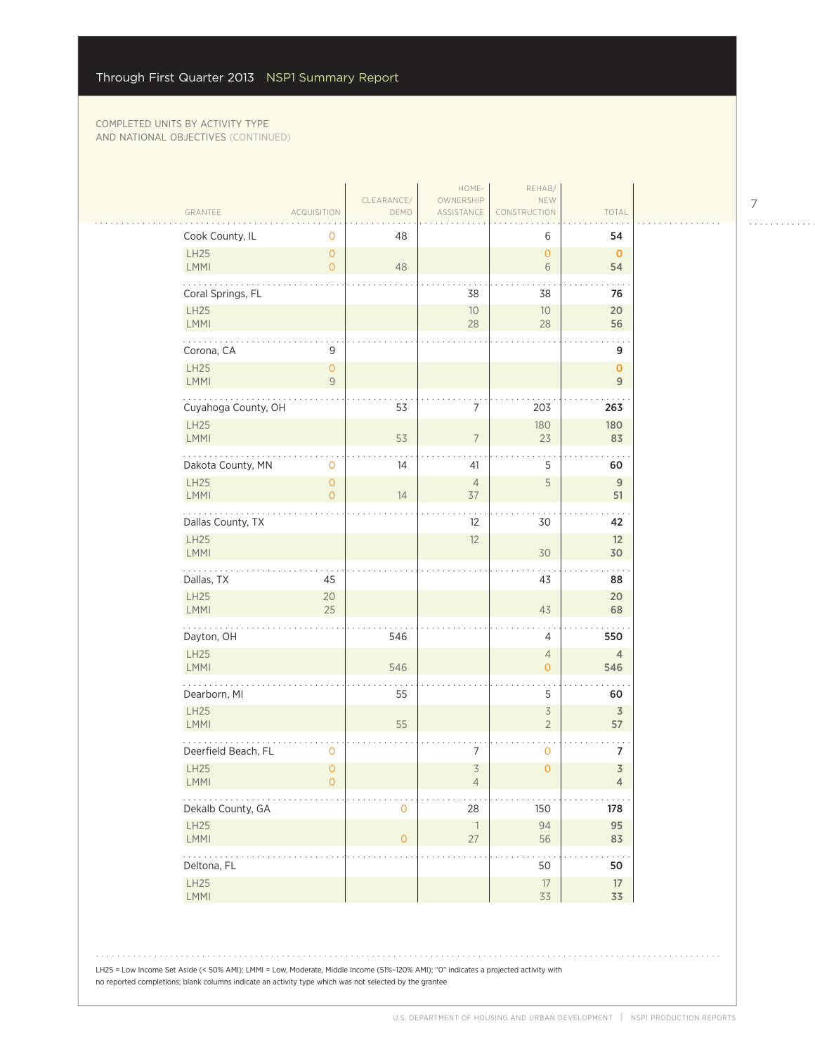|                                            |                     |                                       |                    | HOME-                            | REHAB/                                 |                                           |
|--------------------------------------------|---------------------|---------------------------------------|--------------------|----------------------------------|----------------------------------------|-------------------------------------------|
| GRANTEE                                    |                     | <b>ACQUISITION</b>                    | CLEARANCE/<br>DEMO | OWNERSHIP<br>ASSISTANCE          | NEW<br>CONSTRUCTION                    | TOTAL                                     |
|                                            | Cook County, IL     | 0                                     | 48                 |                                  | 6                                      | 54                                        |
| LH25<br>LMMI                               |                     | $\circ$<br>$\overline{O}$             | 48                 |                                  | $\overline{0}$<br>6                    | $\mathbf 0$<br>54                         |
|                                            | Coral Springs, FL   |                                       |                    | 38                               | 38                                     | 76                                        |
| LH25<br>LMMI                               |                     |                                       |                    | 10<br>28                         | 10<br>28                               | 20<br>56                                  |
|                                            | Corona, CA          | 9                                     |                    |                                  |                                        | 9                                         |
| <b>LH25</b><br><b>LMMI</b>                 |                     | $\circ$<br>$\overline{9}$             |                    |                                  |                                        | $\mathbf{O}$<br>$9\,$                     |
|                                            | Cuyahoga County, OH |                                       | 53                 | 7                                | 203                                    | 263                                       |
| <b>LH25</b><br>LMMI                        |                     |                                       | 53                 | $\overline{7}$                   | 180<br>23                              | 180<br>83                                 |
|                                            | Dakota County, MN   | 0                                     | 14                 | 41                               | 5                                      | 60                                        |
| LH25<br><b>LMMI</b>                        |                     | $\mathsf{O}\xspace$<br>$\overline{O}$ | 14                 | $\overline{4}$<br>37             | 5                                      | 9<br>51                                   |
|                                            |                     |                                       |                    | 12                               | 30                                     | 42                                        |
| LH25                                       | Dallas County, TX   |                                       |                    | 12                               |                                        | 12                                        |
| LMMI                                       |                     |                                       |                    |                                  | 30                                     | 30                                        |
|                                            | Dallas, TX          | 45                                    |                    |                                  | 43                                     | 88                                        |
| LH25<br>LMMI                               |                     | 20<br>25                              |                    |                                  | 43                                     | 20<br>68                                  |
| .                                          | Dayton, OH          |                                       | 546                |                                  | 4                                      | 550                                       |
| <b>LH25</b><br>LMMI                        |                     |                                       | 546                |                                  | $\overline{4}$<br>$\mathbf{O}$         | 4<br>546                                  |
|                                            | Dearborn, MI        |                                       | 55                 |                                  | 5                                      | 60                                        |
| <b>LH25</b><br><b>LMMI</b>                 |                     |                                       | 55                 |                                  | $\overline{\mathcal{S}}$<br>$\sqrt{2}$ | $\overline{3}$<br>57                      |
|                                            | Deerfield Beach, FL | $\mathbf 0$                           |                    | 7                                | $\mathsf{O}$                           | 7                                         |
| LH25<br>LMMI                               |                     | $\circ$<br>$\circ$                    |                    | $\overline{3}$<br>$\overline{4}$ | $\overline{O}$                         | $\overline{\mathsf{3}}$<br>$\overline{4}$ |
|                                            | Dekalb County, GA   |                                       | $\mathbf 0$        | 28                               | 150                                    | 178                                       |
| LH25<br>LMMI                               |                     |                                       | $\circ$            | $\overline{1}$<br>$27\,$         | 94<br>56                               | 95<br>83                                  |
| $\mathbb{Z}^2$ . The set of $\mathbb{Z}^2$ | Deltona, FL         |                                       |                    |                                  | 50                                     | 50                                        |
| LH25                                       |                     |                                       |                    |                                  | $17\,$                                 | 17                                        |
| LMMI                                       |                     |                                       |                    |                                  | 33                                     | 33                                        |

7

 $\begin{array}{cccccccccccccc} . & . & . & . & . & . & . & . & . & . & . & . & . \end{array}$ 

LH25 = Low Income Set Aside (< 50% AMI); LMMI = Low, Moderate, Middle Income (51%–120% AMI); "0" indicates a projected activity with no reported completions; blank columns indicate an activity type which was not selected by the grantee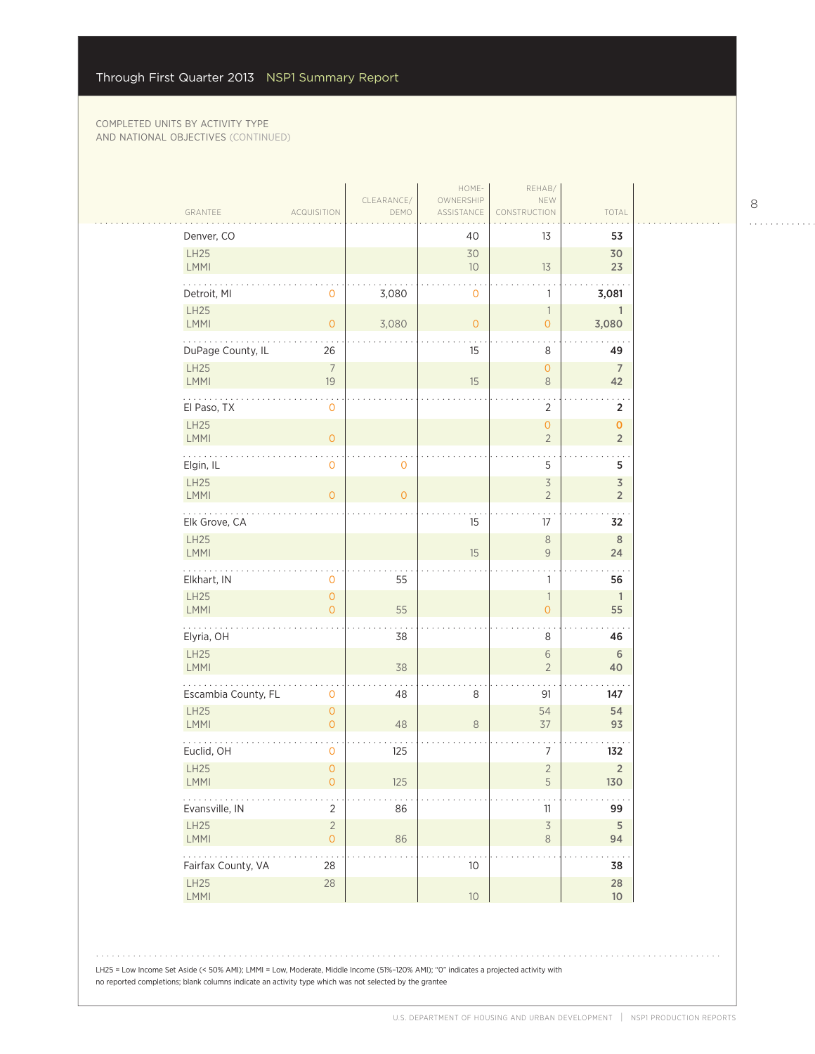| GRANTEE                 | <b>ACQUISITION</b>               | CLEARANCE/<br>DEMO | HOME-<br>OWNERSHIP<br>ASSISTANCE | REHAB/<br>NEW<br>CONSTRUCTION               | TOTAL                                     |
|-------------------------|----------------------------------|--------------------|----------------------------------|---------------------------------------------|-------------------------------------------|
| Denver, CO              |                                  |                    | 40                               | 13                                          | 53                                        |
| LH25<br>LMMI            |                                  |                    | 30<br>10                         | 13                                          | 30<br>23                                  |
| Detroit, MI             | 0                                | 3,080              | $\mathbf 0$                      | 1                                           | 3,081                                     |
| LH25<br>LMMI            | $\overline{0}$                   | 3,080              | $\overline{O}$                   | $\overline{\phantom{a}}$<br>$\overline{O}$  | $\mathbf{1}$<br>3,080                     |
| .<br>DuPage County, IL  | 26                               |                    | 15                               | 8                                           | 49                                        |
| LH25<br>LMMI            | $\overline{7}$<br>19             |                    | 15                               | $\overline{O}$<br>$\,8\,$                   | $\overline{7}$<br>42                      |
| El Paso, TX             | 0                                |                    |                                  | $\overline{2}$                              | 2                                         |
| LH25<br>LMMI            | $\mathsf{O}\xspace$              |                    |                                  | $\overline{O}$<br>$\overline{2}$            | $\mathbf{O}$<br>$\overline{2}$            |
| Elgin, IL               | $\overline{0}$                   | 0                  |                                  | 5                                           | 5                                         |
| LH25<br>LMMI            | $\overline{O}$                   | $\overline{0}$     |                                  | $\overline{\mathcal{S}}$<br>$\overline{c}$  | $\overline{\mathsf{3}}$<br>$\overline{2}$ |
| .<br>Elk Grove, CA      |                                  |                    | 15                               | 17                                          | 32                                        |
| LH25<br>LMMI            |                                  |                    | 15                               | $\,8\,$<br>$\mathsf 9$                      | 8<br>24                                   |
| Elkhart, IN             | 0                                | 55                 |                                  | $\mathbb{1}$                                | 56                                        |
| LH25<br>LMMI            | $\overline{0}$<br>$\overline{O}$ | 55                 |                                  | $\ensuremath{\mathsf{1}}$<br>$\overline{O}$ | $\overline{1}$<br>55                      |
| .<br>Elyria, OH         |                                  | 38                 |                                  | 8                                           | 46                                        |
| LH25<br><b>LMMI</b>     |                                  | 38                 |                                  | $\,$ $\,$ $\,$<br>$\overline{2}$            | 6<br>40                                   |
| Escambia County, FL     | 0                                | 48                 | 8                                | 91                                          | 147                                       |
| <b>LH25</b><br>LMMI     | $\overline{O}$<br>$\overline{O}$ | 48                 | 8                                | 54<br>37                                    | 54<br>93                                  |
| Euclid, OH              | $\mathbf 0$                      | 125                |                                  | 7                                           | 132                                       |
| LH25<br><b>LMMI</b>     | $\overline{0}$<br>0              | 125                |                                  | $\overline{c}$<br>5                         | $\overline{2}$<br>130                     |
| Evansville, IN          | $\overline{2}$                   | 86                 |                                  | 11                                          | 99                                        |
| LH25<br>LMMI            | $\overline{2}$<br>$\circ$        | 86                 |                                  | $\overline{\mathcal{S}}$<br>$\,8\,$         | 5<br>94                                   |
| .<br>Fairfax County, VA | 28                               |                    | 10                               |                                             | 38                                        |
| LH25<br>LMMI            | 28                               |                    | $10$                             |                                             | 28<br>$10$                                |

8

 $\begin{array}{cccccccccccccc} . & . & . & . & . & . & . & . & . & . & . & . & . \end{array}$ 

. . . . . . . . . . . .

LH25 = Low Income Set Aside (< 50% AMI); LMMI = Low, Moderate, Middle Income (51%–120% AMI); "0" indicates a projected activity with no reported completions; blank columns indicate an activity type which was not selected by the grantee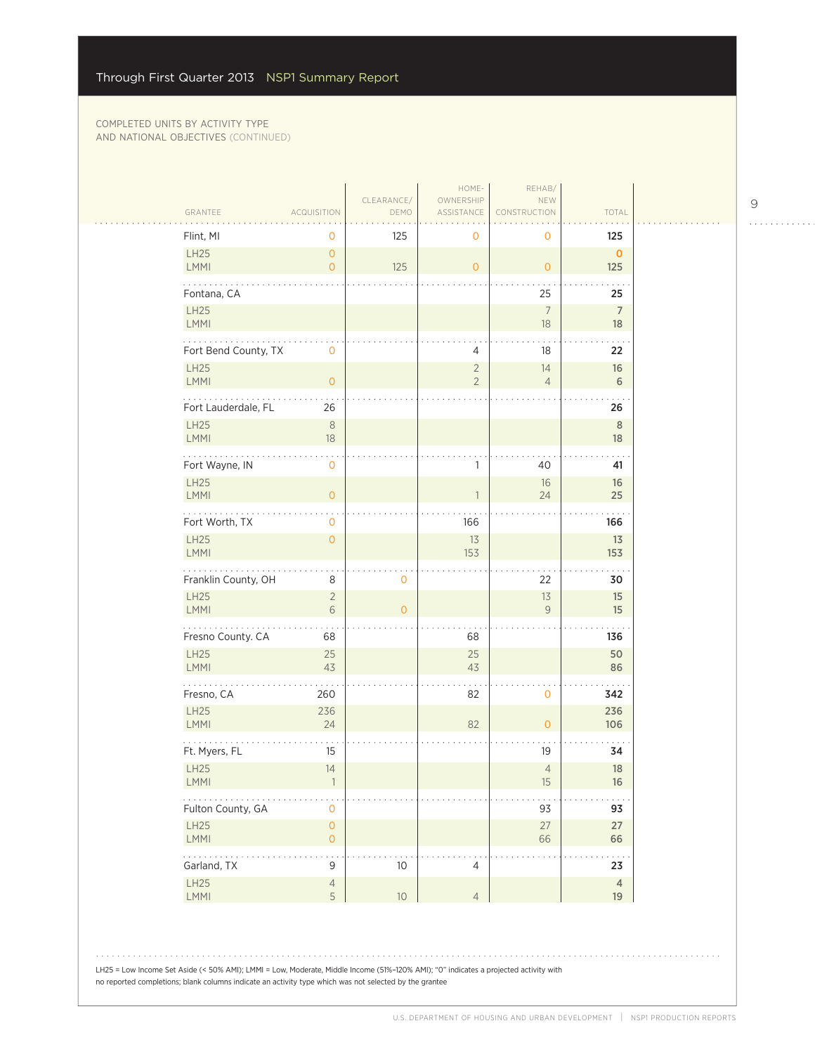| GRANTEE                     | ACQUISITION                    | CLEARANCE/<br>DEMO | HOME-<br>OWNERSHIP<br>ASSISTANCE | REHAB/<br>NEW<br>VSTRUCTION      | TOTAL                      |
|-----------------------------|--------------------------------|--------------------|----------------------------------|----------------------------------|----------------------------|
| Flint, MI                   | $\mathbf 0$                    | 125                | 0                                | 0                                | 125                        |
| LH25<br><b>LMMI</b>         | $\mathbf{O}$<br>$\circ$        | 125                | $\overline{O}$                   | $\overline{0}$                   | $\mathbf{O}$<br>125        |
| Fontana, CA<br>LH25<br>LMMI |                                |                    |                                  | 25<br>$\boldsymbol{7}$<br>$18\,$ | 25<br>$\overline{7}$<br>18 |
| Fort Bend County, TX        | $\mathsf{O}\xspace$            |                    | 4                                | 18                               | 22                         |
| <b>LH25</b><br>LMMI         | $\mathbf{O}$                   |                    | $\overline{2}$<br>$\overline{2}$ | 14<br>$\overline{4}$             | 16<br>6                    |
| Fort Lauderdale, FL         | 26                             |                    |                                  |                                  | 26                         |
| <b>LH25</b><br>LMMI         | $\,8\,$<br>$18\,$              |                    |                                  |                                  | $\,$ 8<br>18               |
| Fort Wayne, IN              | $\mathbf 0$                    |                    | 1                                | 40                               | 41                         |
| LH25<br>LMMI                | $\overline{0}$                 |                    | $\mathbf{1}$                     | 16<br>24                         | 16<br>25                   |
| .<br>Fort Worth, TX         | $\mathbf 0$                    |                    | 166                              |                                  | 166                        |
| LH25<br>LMMI                | $\mathbf{O}$                   |                    | 13<br>153                        |                                  | 13<br>153                  |
| Franklin County, OH         | $\,8\,$                        | $\mathbf 0$        |                                  | 22                               | 30                         |
| LH25<br>LMMI                | $\overline{2}$<br>$\sqrt{6}$   | $\circ$            |                                  | 13<br>9                          | 15<br>15                   |
| .<br>Fresno County. CA      | 68                             |                    | 68                               |                                  | 136                        |
| LH25<br>LMMI                | 25<br>43                       |                    | 25<br>43                         |                                  | 50<br>86                   |
| Fresno, CA                  | 260                            |                    | 82                               | $\mathsf{O}\xspace$              | 342                        |
| LH25<br>LMMI                | 236<br>24                      |                    | 82                               | $\mathsf{O}\xspace$              | 236<br>106                 |
| Ft. Myers, FL               | 15                             |                    |                                  | 19                               | 34                         |
| LH25<br>LMMI                | 14<br>1                        |                    |                                  | $\overline{4}$<br>$15\,$         | 18<br>$16\,$               |
| .<br>Fulton County, GA      | $\mathsf{O}\xspace$            |                    |                                  | 93                               | 93                         |
| LH25<br>LMMI                | $\mathsf{O}\xspace$<br>$\circ$ |                    |                                  | $27$<br>66                       | 27<br>66                   |
| .<br>Garland, TX            | $\mathsf 9$                    | $10$               | 4                                |                                  | $\cdots$<br>23             |
| LH25<br>LMMI                | $\sqrt{4}$<br>5                | $10\,$             | $\overline{4}$                   |                                  | $\overline{4}$<br>19       |

LH25 = Low Income Set Aside (< 50% AMI); LMMI = Low, Moderate, Middle Income (51%–120% AMI); "0" indicates a projected activity with no reported completions; blank columns indicate an activity type which was not selected by the grantee

 $\begin{array}{cccccccccccccc} . & . & . & . & . & . & . & . & . & . & . & . & . \end{array}$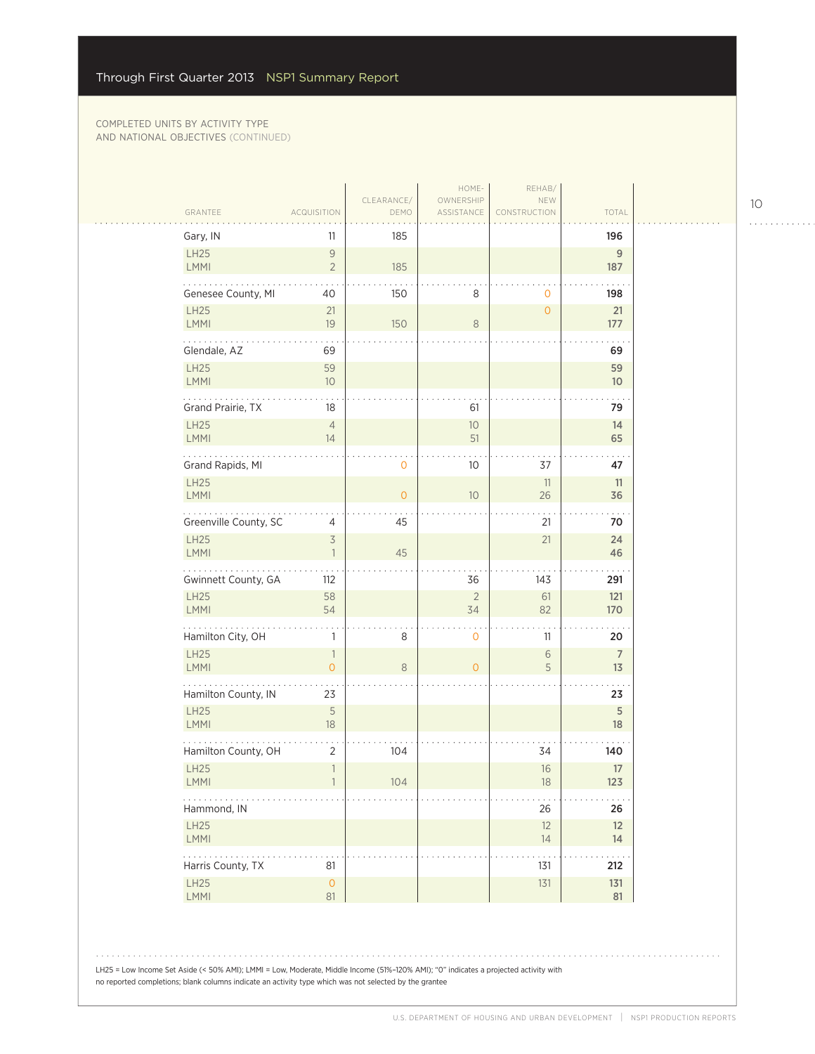$\mathcal{L}_{\mathcal{A}}$ 

| Gary, IN                   | 11                                         | 185            |                  |                 | 196                   |
|----------------------------|--------------------------------------------|----------------|------------------|-----------------|-----------------------|
| <b>LH25</b><br>LMMI        | $\mathsf{9}$<br>$\overline{2}$             | 185            |                  |                 | $\mathsf g$<br>187    |
| Genesee County, MI         | 40                                         | 150            | 8                | 0               | 198                   |
| <b>LH25</b><br><b>LMMI</b> | 21<br>19                                   | 150            | $\,8\,$          | $\overline{O}$  | 21<br>177             |
| Glendale, AZ               | 69                                         |                |                  |                 | 69                    |
| LH25<br>LMMI               | 59<br>10                                   |                |                  |                 | 59<br>10 <sup>°</sup> |
| Grand Prairie, TX          | 18                                         |                | 61               |                 | 79                    |
| LH25<br><b>LMMI</b>        | $\overline{4}$<br>14                       |                | 10<br>51         |                 | 14<br>65              |
| .<br>Grand Rapids, MI      |                                            | $\mathbf 0$    | 10               | 37              | 47                    |
| LH25<br><b>LMMI</b>        |                                            | $\overline{O}$ | 10               | 11<br>26        | 11<br>36              |
| Greenville County, SC      | 4                                          | 45             |                  | 21              | 70                    |
| <b>LH25</b><br><b>LMMI</b> | $\overline{3}$<br>$\mathbf{1}$             | 45             |                  | 21              | 24<br>46              |
| Gwinnett County, GA        | 112                                        |                | 36               | 143             | 291                   |
| LH25<br>LMMI               | 58<br>54                                   |                | $\sqrt{2}$<br>34 | 61<br>82        | 121<br>170            |
| .<br>Hamilton City, OH     | 1                                          | 8              | $\mathbf 0$      | 11              | 20                    |
| LH25<br><b>LMMI</b>        | $\overline{\phantom{a}}$<br>$\overline{O}$ | $\,8\,$        | $\overline{0}$   | $\sqrt{6}$<br>5 | $\overline{7}$<br>13  |
| Hamilton County, IN        | 23                                         |                |                  |                 | 23                    |
| <b>LH25</b><br>LMMI        | 5<br>18                                    |                |                  |                 | 5<br>18               |
| Hamilton County, OH        | 2                                          | 104            |                  | 34              | 140                   |
| LH25<br>$\mathsf{LMMI}$    | $\mathbf{1}$<br>$\mathbf{1}$               | 104            |                  | 16<br>$18\,$    | 17<br>123             |
| .<br>Hammond, IN           |                                            |                |                  | 26              | 26                    |
| LH25<br>LMMI               |                                            |                |                  | 12<br>14        | 12<br>14              |
| Harris County, TX          | 81                                         |                |                  | 131             | 212                   |
| LH25<br>LMMI               | $\mathsf{O}\xspace$<br>81                  |                |                  | 131             | 131<br>81             |

LH25 = Low Income Set Aside (< 50% AMI); LMMI = Low, Moderate, Middle Income (51%–120% AMI); "0" indicates a projected activity with no reported completions; blank columns indicate an activity type which was not selected by the grantee

10

 $1.1.1.1.1.1.1.1.1.1$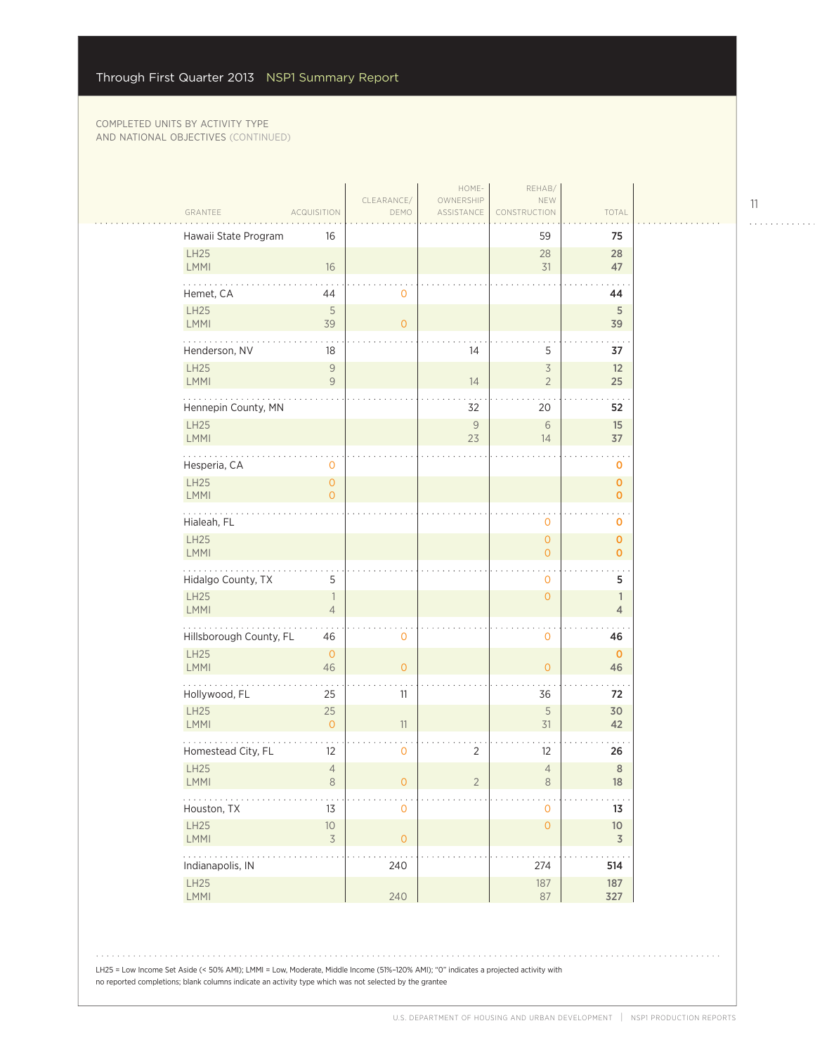|                            |                                       |                     | HOME-                   | REHAB/                                |                                            |  |
|----------------------------|---------------------------------------|---------------------|-------------------------|---------------------------------------|--------------------------------------------|--|
| GRANTEE                    | <b>ACQUISITION</b>                    | CLEARANCE/<br>DEMO  | OWNERSHIP<br>ASSISTANCE | NEW<br>CONSTRUCTION                   | TOTAL                                      |  |
| Hawaii State Program       | 16                                    |                     |                         | 59                                    | 75                                         |  |
| <b>LH25</b><br><b>LMMI</b> | 16                                    |                     |                         | 28<br>31                              | 28<br>47                                   |  |
| Hemet, CA                  | 44                                    | 0                   |                         |                                       | 44                                         |  |
| LH25<br>LMMI               | 5<br>39                               | $\circ$             |                         |                                       | $\sqrt{5}$<br>39                           |  |
| .<br>Henderson, NV         | 18                                    |                     | 14                      | 5                                     | 37                                         |  |
| LH25<br>LMMI               | $\mathsf{9}$<br>$\overline{9}$        |                     | 14                      | $\preceq$<br>$\overline{2}$           | 12<br>25                                   |  |
| Hennepin County, MN        |                                       |                     | 32                      | 20                                    | 52                                         |  |
| LH25<br>LMMI               |                                       |                     | $\mathcal{G}$<br>23     | $\sqrt{6}$<br>14                      | 15<br>37                                   |  |
| Hesperia, CA               | 0                                     |                     |                         |                                       | 0                                          |  |
| <b>LH25</b><br>LMMI        | $\mathsf{O}\xspace$<br>$\overline{O}$ |                     |                         |                                       | $\mathbf 0$<br>$\mathbf 0$                 |  |
| .<br>Hialeah, FL           |                                       |                     |                         | 0                                     | $\mathbf 0$                                |  |
| LH25<br>LMMI               |                                       |                     |                         | $\mathsf{O}\xspace$<br>$\overline{0}$ | $\mathbf{O}$<br>$\overline{O}$             |  |
| Hidalgo County, TX         | 5                                     |                     |                         | 0                                     | 5                                          |  |
| LH25<br>LMMI               | $\overline{1}$<br>$\overline{4}$      |                     |                         | $\mathsf{O}\xspace$                   | $\mathbb{1}$<br>$\overline{4}$             |  |
| Hillsborough County, FL    | 46                                    | $\mathbf 0$         |                         | $\mathsf{O}\xspace$                   | 46                                         |  |
| LH25<br><b>LMMI</b>        | $\mathbf{0}$<br>46                    | $\overline{0}$      |                         | $\overline{0}$                        | $\mathbf{0}$<br>46                         |  |
| Hollywood, FL              | 25                                    | 11                  |                         | 36                                    | 72                                         |  |
| <b>LH25</b><br>LMMI        | 25<br>$\circ$                         | 11                  |                         | 5<br>31                               | 30<br>42                                   |  |
| Homestead City, FL         | 12                                    | 0                   | $\overline{2}$          | 12                                    | 26                                         |  |
| LH25<br><b>LMMI</b>        | $\overline{4}$<br>8                   | 0                   | 2                       | $\overline{4}$<br>8                   | $\,8\,$<br>18                              |  |
| Houston, TX                | 13                                    | $\mathbf 0$         |                         | 0                                     | 13                                         |  |
| LH25<br>LMMI               | $10$<br>$\preceq$                     | $\mathsf{O}\xspace$ |                         | $\mathsf O$                           | 10 <sup>°</sup><br>$\overline{\mathsf{3}}$ |  |
| Indianapolis, IN           |                                       | 240                 |                         | 274                                   | 514                                        |  |
| LH25<br>LMMI               |                                       | 240                 |                         | 187<br>87                             | 187<br>327                                 |  |

LH25 = Low Income Set Aside (< 50% AMI); LMMI = Low, Moderate, Middle Income (51%–120% AMI); "0" indicates a projected activity with no reported completions; blank columns indicate an activity type which was not selected by the grantee

11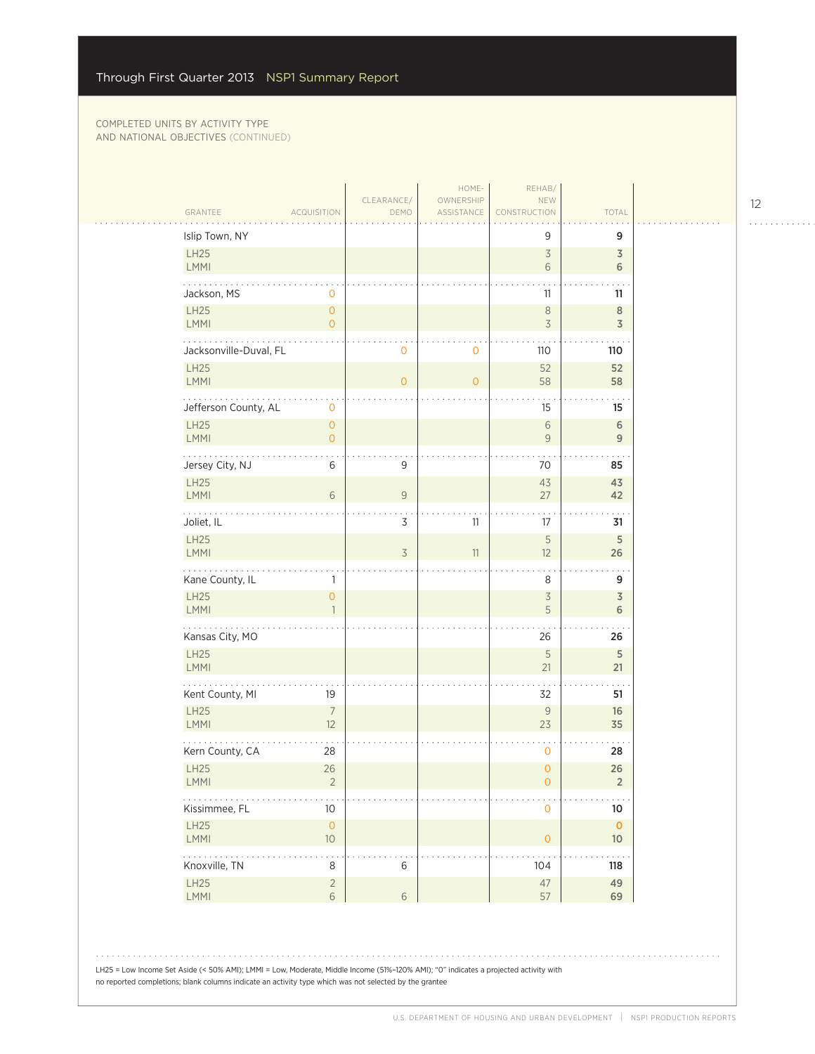| GRANTEE                    | <b>ACQUISITION</b>                    | CLEARANCE/<br>DEMO | HOME-<br>OWNERSHIP<br>ASSISTANCE | REHAB/<br>NEW<br>CONSTRUCTION | TOTAL                        |
|----------------------------|---------------------------------------|--------------------|----------------------------------|-------------------------------|------------------------------|
| Islip Town, NY             |                                       |                    |                                  | 9                             | 9                            |
| LH25<br><b>LMMI</b>        |                                       |                    |                                  | $\overline{\mathcal{S}}$<br>6 | 3<br>6                       |
| Jackson, MS                | 0                                     |                    |                                  | 11                            | 11                           |
| <b>LH25</b><br>LMMI        | $\overline{0}$<br>$\overline{O}$      |                    |                                  | $\,8\,$<br>$\overline{3}$     | $\,8\,$<br>$\overline{3}$    |
| Jacksonville-Duval, FL     |                                       | 0                  | $\circ$                          | 110                           | 110                          |
| <b>LH25</b><br>LMMI        |                                       | $\mathbf 0$        | $\Omega$                         | 52<br>58                      | 52<br>58                     |
| Jefferson County, AL       | 0                                     |                    |                                  | 15                            | 15                           |
| LH25<br><b>LMMI</b>        | $\mathsf{O}\xspace$<br>$\overline{O}$ |                    |                                  | $\sqrt{6}$<br>$\overline{9}$  | 6<br>9                       |
| Jersey City, NJ            | 6                                     | 9                  |                                  | 70                            | 85                           |
| <b>LH25</b><br>LMMI        | 6                                     | $\mathcal G$       |                                  | 43<br>27                      | 43<br>42                     |
| .<br>Joliet, IL            |                                       | 3                  | 11                               | 17                            | 31                           |
| LH25<br>LMMI               |                                       | 3                  | 11                               | 5<br>12                       | 5<br>26                      |
| Kane County, IL            | $\mathbf{1}$                          |                    |                                  | 8                             | 9                            |
| LH25<br><b>LMMI</b>        | $\mathsf{O}\xspace$<br>$\overline{1}$ |                    |                                  | $\overline{\mathcal{S}}$<br>5 | $\overline{\mathsf{3}}$<br>6 |
| Kansas City, MO            |                                       |                    |                                  | 26                            | 26                           |
| LH25<br><b>LMMI</b>        |                                       |                    |                                  | 5<br>21                       | 5<br>21                      |
| Kent County, MI            | 19                                    |                    |                                  | 32                            | 51                           |
| <b>LH25</b><br><b>LMMI</b> | $\overline{7}$<br>12                  |                    |                                  | $\mathsf{9}$<br>23            | 16<br>35                     |
| Kern County, CA            | 28                                    |                    |                                  | $\mathbf 0$                   | 28                           |
| <b>LH25</b><br>LMMI        | 26<br>$\overline{2}$                  |                    |                                  | $\mathbf 0$<br>$\overline{O}$ | 26<br>$\overline{2}$         |
| .<br>Kissimmee, FL         | 10 <sup>°</sup>                       |                    |                                  | $\mathsf{O}\xspace$           | $10\,$                       |
| LH25<br>LMMI               | $\mathsf{O}\xspace$<br>$10$           |                    |                                  | $\mathsf{O}$                  | $\mathbf 0$<br>$10$          |
| .<br>Knoxville, TN         | $\ddot{\phantom{1}}$ .<br>8           | 6                  |                                  | 104                           | 118                          |
| LH25<br>LMMI               | $\overline{2}$<br>$6\,$               | $\sqrt{6}$         |                                  | 47<br>57                      | 49<br>69                     |

12 . . . . . . . . . . . .

. . . . . . . . . . . .

LH25 = Low Income Set Aside (< 50% AMI); LMMI = Low, Moderate, Middle Income (51%–120% AMI); "0" indicates a projected activity with no reported completions; blank columns indicate an activity type which was not selected by the grantee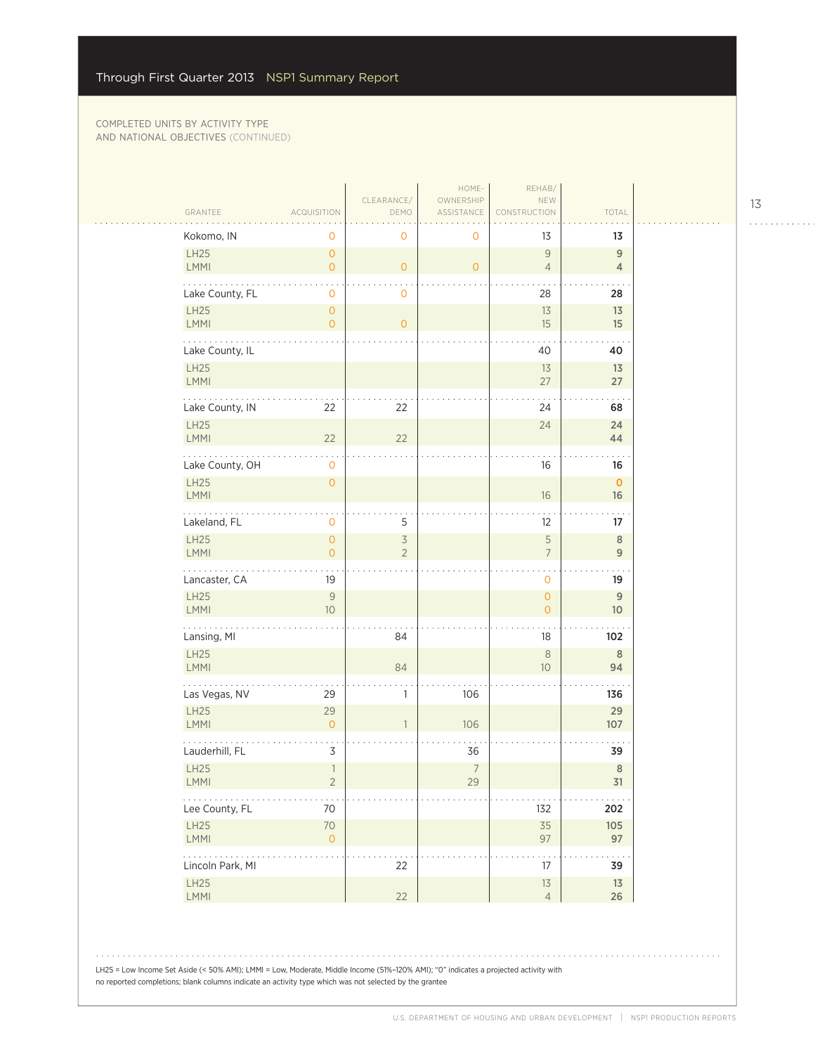|                                                                      |                                       |                                            | HOME-                   | REHAB/                             |                                   |
|----------------------------------------------------------------------|---------------------------------------|--------------------------------------------|-------------------------|------------------------------------|-----------------------------------|
| GRANTEE                                                              | <b>ACQUISITION</b>                    | CLEARANCE/<br>DEMO                         | OWNERSHIP<br>ASSISTANCE | NEW<br>CONSTRUCTION                | TOTAL                             |
| Kokomo, IN                                                           | 0                                     | $\mathbf 0$                                | 0                       | 13                                 | 13                                |
| LH25<br>LMMI                                                         | $\mathsf O$<br>$\circ$                | $\overline{O}$                             | $\overline{O}$          | $\mathsf{9}$<br>$\overline{4}$     | 9<br>$\overline{4}$               |
| Lake County, FL                                                      | $\mathbf 0$                           | $\mathbf 0$                                |                         | 28                                 | 28                                |
| LH25<br>LMMI                                                         | $\circ$<br>$\circ$                    | $\circ$                                    |                         | 13<br>15                           | 13<br>15                          |
| .<br>Lake County, IL                                                 |                                       |                                            |                         | 40                                 | 40                                |
| LH25<br>LMMI                                                         |                                       |                                            |                         | 13<br>27                           | 13<br>27                          |
| Lake County, IN                                                      | 22                                    | 22                                         |                         | 24                                 | 68                                |
| LH25<br>LMMI                                                         | 22                                    | 22                                         |                         | 24                                 | 24<br>44                          |
| Lake County, OH                                                      | $\mathbf 0$                           |                                            |                         | 16                                 | 16                                |
| LH25<br><b>LMMI</b>                                                  | $\mathsf O$                           |                                            |                         | $16\,$                             | $\mathbf{O}$<br>16                |
| للماليات<br>Lakeland, FL                                             | $\mathbf 0$                           | 5                                          |                         | 12                                 | 17                                |
| LH25<br>LMMI                                                         | $\mathsf{O}\xspace$<br>$\overline{O}$ | $\overline{\mathcal{S}}$<br>$\overline{2}$ |                         | 5<br>$\overline{7}$                | $\,8\,$<br>$\overline{9}$         |
| Lancaster, CA                                                        | 19                                    |                                            |                         | $\sim$<br>$\overline{O}$           | 19                                |
| LH25<br><b>LMMI</b>                                                  | $\mathsf{9}$<br>10                    |                                            |                         | $\mathsf O$<br>$\mathsf{O}\xspace$ | $\overline{9}$<br>10 <sup>°</sup> |
| .<br>Lansing, MI                                                     |                                       | 84                                         |                         | 18                                 | 102                               |
| LH25<br><b>LMMI</b>                                                  |                                       | 84                                         |                         | $\,8\,$<br>10                      | $\,$ 8 $\,$<br>94                 |
| Las Vegas, NV                                                        | 29                                    | 1                                          | 106                     |                                    | 136                               |
| LH25<br><b>LMMI</b>                                                  | 29<br>$\circ$                         | $\overline{\phantom{a}}$                   | 106                     |                                    | 29<br>107                         |
| Lauderhill, FL                                                       | 3                                     |                                            | 36                      |                                    | 39                                |
| LH25<br>LMMI                                                         | $\overline{1}$<br>2                   |                                            | $\overline{7}$<br>29    |                                    | $\,$ 8 $\,$<br>31                 |
| Lee County, FL                                                       | 70                                    |                                            |                         | 132                                | 202                               |
| LH25<br>LMMI                                                         | 70<br>$\circ$                         |                                            |                         | 35<br>97                           | 105<br>97                         |
| $\mathbb{Z}^2$ , $\mathbb{Z}^2$ , $\mathbb{Z}^2$<br>Lincoln Park, MI |                                       | 22                                         |                         | 17                                 | 39                                |
| LH25<br>LMMI                                                         |                                       | 22                                         |                         | $13$<br>$\overline{4}$             | 13<br>$26\,$                      |

LH25 = Low Income Set Aside (< 50% AMI); LMMI = Low, Moderate, Middle Income (51%–120% AMI); "0" indicates a projected activity with no reported completions; blank columns indicate an activity type which was not selected by the grantee

13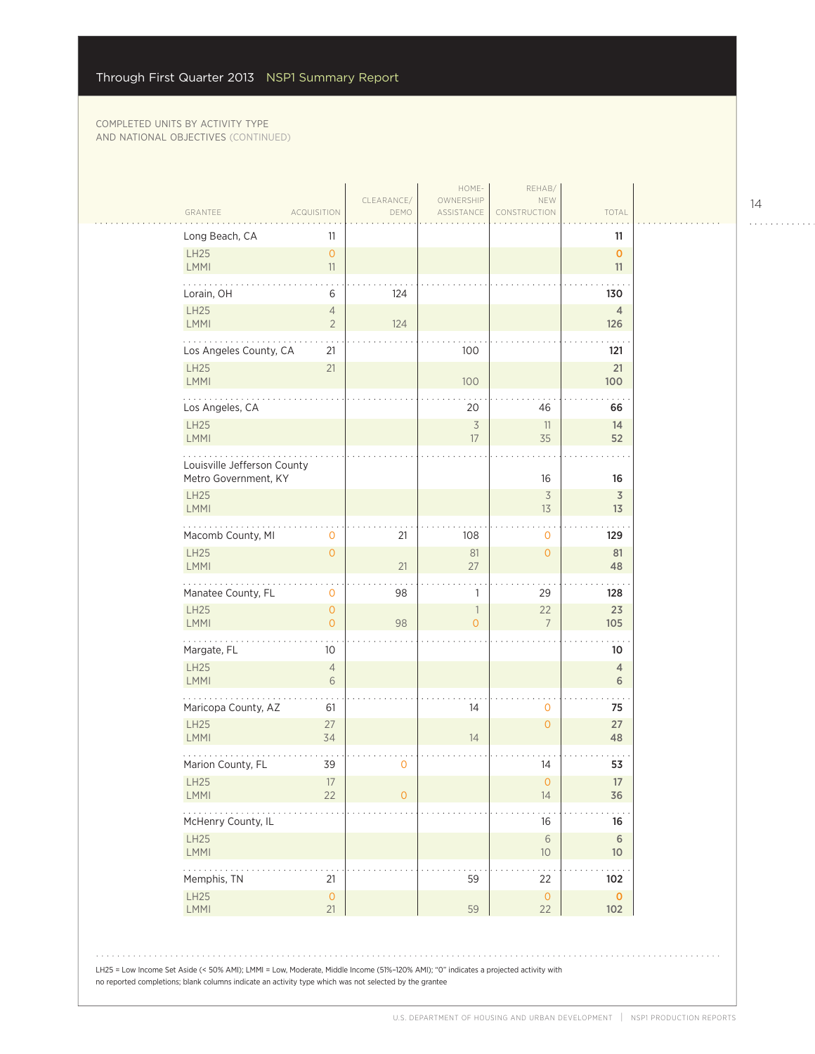| TOTAL<br>GRANTEE<br>ASSISTANCE<br><b>ACQUISITION</b><br>DEMO<br>CONSTRUCTION<br>Long Beach, CA<br>11<br>11<br>LH25<br>$\overline{O}$<br>$\mathbf{O}$<br>LMMI<br>11<br>11<br>Lorain, OH<br>6<br>124<br>130<br>LH25<br>$\overline{4}$<br>$\overline{4}$<br>LMMI<br>$\overline{2}$<br>124<br>126<br>Los Angeles County, CA<br>100<br>21<br>121<br><b>LH25</b><br>21<br>21<br>LMMI<br>100<br>100<br>Los Angeles, CA<br>20<br>46<br>66<br><b>LH25</b><br>$\overline{\mathcal{S}}$<br>11<br>14<br><b>LMMI</b><br>35<br>17<br>52<br>Louisville Jefferson County<br>Metro Government, KY<br>16<br>16<br><b>LH25</b><br>3<br>$\overline{3}$<br>LMMI<br>13<br>13<br>Macomb County, MI<br>$\mathbf 0$<br>21<br>108<br>129<br>$\mathbf{0}$<br><b>LH25</b><br>$\circ$<br>81<br>$\overline{0}$<br>81<br>LMMI<br>21<br>27<br>48<br>Manatee County, FL<br>$\mathbf 0$<br>98<br>29<br>$\mathbf{1}$<br>128<br><b>LH25</b><br>$\mathsf{O}\xspace$<br>22<br>23<br>$\mathbb{1}$<br><b>LMMI</b><br>$\overline{O}$<br>98<br>$\overline{7}$<br>105<br>$\overline{O}$<br>Margate, FL<br>10<br>10<br>LH25<br>$\sqrt{4}$<br>$\overline{4}$<br><b>LMMI</b><br>6<br>6<br>Maricopa County, AZ<br>14<br>$\mathbf{O}$<br>75<br>61<br>LH25<br>27<br>$\overline{0}$<br>27<br>LMMI<br>34<br>14<br>48<br>Marion County, FL<br>14<br>53<br>39<br>$\mathbf 0$<br>LH25<br>17<br>$\circ$<br>17<br>22<br><b>LMMI</b><br>14<br>36<br>$\overline{O}$<br>McHenry County, IL<br>16<br>16<br>$\sqrt{6}$<br><b>LH25</b><br>$\sqrt{6}$<br><b>LMMI</b><br>$10\,$<br>10 <sup>°</sup><br>Memphis, TN<br>59<br>21<br>22<br>102<br>LH25<br>$\mathsf{O}\xspace$<br>$\mathbf{O}$<br>$\circ$<br>LMMI<br>21<br>59<br>22<br>102 |                                                                                                                                                                                                                                                |            | HOME-     | REHAB/ |  |
|-----------------------------------------------------------------------------------------------------------------------------------------------------------------------------------------------------------------------------------------------------------------------------------------------------------------------------------------------------------------------------------------------------------------------------------------------------------------------------------------------------------------------------------------------------------------------------------------------------------------------------------------------------------------------------------------------------------------------------------------------------------------------------------------------------------------------------------------------------------------------------------------------------------------------------------------------------------------------------------------------------------------------------------------------------------------------------------------------------------------------------------------------------------------------------------------------------------------------------------------------------------------------------------------------------------------------------------------------------------------------------------------------------------------------------------------------------------------------------------------------------------------------------------------------------------------------------------------------------------------------------------------------------------------------|------------------------------------------------------------------------------------------------------------------------------------------------------------------------------------------------------------------------------------------------|------------|-----------|--------|--|
|                                                                                                                                                                                                                                                                                                                                                                                                                                                                                                                                                                                                                                                                                                                                                                                                                                                                                                                                                                                                                                                                                                                                                                                                                                                                                                                                                                                                                                                                                                                                                                                                                                                                       |                                                                                                                                                                                                                                                | CLEARANCE/ | OWNERSHIP | NEW    |  |
|                                                                                                                                                                                                                                                                                                                                                                                                                                                                                                                                                                                                                                                                                                                                                                                                                                                                                                                                                                                                                                                                                                                                                                                                                                                                                                                                                                                                                                                                                                                                                                                                                                                                       |                                                                                                                                                                                                                                                |            |           |        |  |
|                                                                                                                                                                                                                                                                                                                                                                                                                                                                                                                                                                                                                                                                                                                                                                                                                                                                                                                                                                                                                                                                                                                                                                                                                                                                                                                                                                                                                                                                                                                                                                                                                                                                       |                                                                                                                                                                                                                                                |            |           |        |  |
|                                                                                                                                                                                                                                                                                                                                                                                                                                                                                                                                                                                                                                                                                                                                                                                                                                                                                                                                                                                                                                                                                                                                                                                                                                                                                                                                                                                                                                                                                                                                                                                                                                                                       |                                                                                                                                                                                                                                                |            |           |        |  |
|                                                                                                                                                                                                                                                                                                                                                                                                                                                                                                                                                                                                                                                                                                                                                                                                                                                                                                                                                                                                                                                                                                                                                                                                                                                                                                                                                                                                                                                                                                                                                                                                                                                                       |                                                                                                                                                                                                                                                |            |           |        |  |
|                                                                                                                                                                                                                                                                                                                                                                                                                                                                                                                                                                                                                                                                                                                                                                                                                                                                                                                                                                                                                                                                                                                                                                                                                                                                                                                                                                                                                                                                                                                                                                                                                                                                       |                                                                                                                                                                                                                                                |            |           |        |  |
|                                                                                                                                                                                                                                                                                                                                                                                                                                                                                                                                                                                                                                                                                                                                                                                                                                                                                                                                                                                                                                                                                                                                                                                                                                                                                                                                                                                                                                                                                                                                                                                                                                                                       |                                                                                                                                                                                                                                                |            |           |        |  |
|                                                                                                                                                                                                                                                                                                                                                                                                                                                                                                                                                                                                                                                                                                                                                                                                                                                                                                                                                                                                                                                                                                                                                                                                                                                                                                                                                                                                                                                                                                                                                                                                                                                                       |                                                                                                                                                                                                                                                |            |           |        |  |
|                                                                                                                                                                                                                                                                                                                                                                                                                                                                                                                                                                                                                                                                                                                                                                                                                                                                                                                                                                                                                                                                                                                                                                                                                                                                                                                                                                                                                                                                                                                                                                                                                                                                       |                                                                                                                                                                                                                                                |            |           |        |  |
|                                                                                                                                                                                                                                                                                                                                                                                                                                                                                                                                                                                                                                                                                                                                                                                                                                                                                                                                                                                                                                                                                                                                                                                                                                                                                                                                                                                                                                                                                                                                                                                                                                                                       |                                                                                                                                                                                                                                                |            |           |        |  |
|                                                                                                                                                                                                                                                                                                                                                                                                                                                                                                                                                                                                                                                                                                                                                                                                                                                                                                                                                                                                                                                                                                                                                                                                                                                                                                                                                                                                                                                                                                                                                                                                                                                                       |                                                                                                                                                                                                                                                |            |           |        |  |
|                                                                                                                                                                                                                                                                                                                                                                                                                                                                                                                                                                                                                                                                                                                                                                                                                                                                                                                                                                                                                                                                                                                                                                                                                                                                                                                                                                                                                                                                                                                                                                                                                                                                       |                                                                                                                                                                                                                                                |            |           |        |  |
|                                                                                                                                                                                                                                                                                                                                                                                                                                                                                                                                                                                                                                                                                                                                                                                                                                                                                                                                                                                                                                                                                                                                                                                                                                                                                                                                                                                                                                                                                                                                                                                                                                                                       |                                                                                                                                                                                                                                                |            |           |        |  |
|                                                                                                                                                                                                                                                                                                                                                                                                                                                                                                                                                                                                                                                                                                                                                                                                                                                                                                                                                                                                                                                                                                                                                                                                                                                                                                                                                                                                                                                                                                                                                                                                                                                                       |                                                                                                                                                                                                                                                |            |           |        |  |
|                                                                                                                                                                                                                                                                                                                                                                                                                                                                                                                                                                                                                                                                                                                                                                                                                                                                                                                                                                                                                                                                                                                                                                                                                                                                                                                                                                                                                                                                                                                                                                                                                                                                       |                                                                                                                                                                                                                                                |            |           |        |  |
|                                                                                                                                                                                                                                                                                                                                                                                                                                                                                                                                                                                                                                                                                                                                                                                                                                                                                                                                                                                                                                                                                                                                                                                                                                                                                                                                                                                                                                                                                                                                                                                                                                                                       |                                                                                                                                                                                                                                                |            |           |        |  |
|                                                                                                                                                                                                                                                                                                                                                                                                                                                                                                                                                                                                                                                                                                                                                                                                                                                                                                                                                                                                                                                                                                                                                                                                                                                                                                                                                                                                                                                                                                                                                                                                                                                                       |                                                                                                                                                                                                                                                |            |           |        |  |
|                                                                                                                                                                                                                                                                                                                                                                                                                                                                                                                                                                                                                                                                                                                                                                                                                                                                                                                                                                                                                                                                                                                                                                                                                                                                                                                                                                                                                                                                                                                                                                                                                                                                       |                                                                                                                                                                                                                                                |            |           |        |  |
|                                                                                                                                                                                                                                                                                                                                                                                                                                                                                                                                                                                                                                                                                                                                                                                                                                                                                                                                                                                                                                                                                                                                                                                                                                                                                                                                                                                                                                                                                                                                                                                                                                                                       |                                                                                                                                                                                                                                                |            |           |        |  |
|                                                                                                                                                                                                                                                                                                                                                                                                                                                                                                                                                                                                                                                                                                                                                                                                                                                                                                                                                                                                                                                                                                                                                                                                                                                                                                                                                                                                                                                                                                                                                                                                                                                                       |                                                                                                                                                                                                                                                |            |           |        |  |
|                                                                                                                                                                                                                                                                                                                                                                                                                                                                                                                                                                                                                                                                                                                                                                                                                                                                                                                                                                                                                                                                                                                                                                                                                                                                                                                                                                                                                                                                                                                                                                                                                                                                       |                                                                                                                                                                                                                                                |            |           |        |  |
|                                                                                                                                                                                                                                                                                                                                                                                                                                                                                                                                                                                                                                                                                                                                                                                                                                                                                                                                                                                                                                                                                                                                                                                                                                                                                                                                                                                                                                                                                                                                                                                                                                                                       |                                                                                                                                                                                                                                                |            |           |        |  |
|                                                                                                                                                                                                                                                                                                                                                                                                                                                                                                                                                                                                                                                                                                                                                                                                                                                                                                                                                                                                                                                                                                                                                                                                                                                                                                                                                                                                                                                                                                                                                                                                                                                                       |                                                                                                                                                                                                                                                |            |           |        |  |
|                                                                                                                                                                                                                                                                                                                                                                                                                                                                                                                                                                                                                                                                                                                                                                                                                                                                                                                                                                                                                                                                                                                                                                                                                                                                                                                                                                                                                                                                                                                                                                                                                                                                       |                                                                                                                                                                                                                                                |            |           |        |  |
|                                                                                                                                                                                                                                                                                                                                                                                                                                                                                                                                                                                                                                                                                                                                                                                                                                                                                                                                                                                                                                                                                                                                                                                                                                                                                                                                                                                                                                                                                                                                                                                                                                                                       |                                                                                                                                                                                                                                                |            |           |        |  |
|                                                                                                                                                                                                                                                                                                                                                                                                                                                                                                                                                                                                                                                                                                                                                                                                                                                                                                                                                                                                                                                                                                                                                                                                                                                                                                                                                                                                                                                                                                                                                                                                                                                                       |                                                                                                                                                                                                                                                |            |           |        |  |
|                                                                                                                                                                                                                                                                                                                                                                                                                                                                                                                                                                                                                                                                                                                                                                                                                                                                                                                                                                                                                                                                                                                                                                                                                                                                                                                                                                                                                                                                                                                                                                                                                                                                       | LH25 = Low Income Set Aside (< 50% AMI); LMMI = Low, Moderate, Middle Income (51%-120% AMI); "0" indicates a projected activity with<br>no reported completions; blank columns indicate an activity type which was not selected by the grantee |            |           |        |  |

14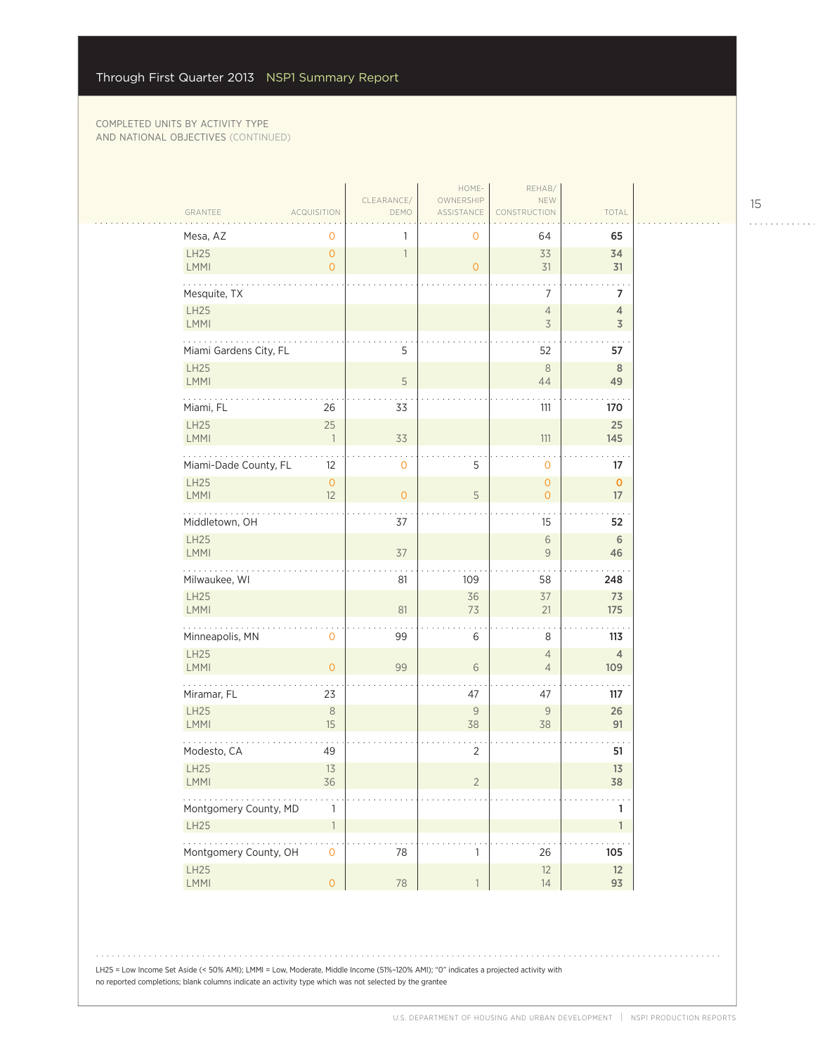|                                   |                              |                          | HOME-                     | REHAB/                                     |                                           |
|-----------------------------------|------------------------------|--------------------------|---------------------------|--------------------------------------------|-------------------------------------------|
| GRANTEE                           | <b>ACQUISITION</b>           | CLEARANCE/<br>DEMO       | OWNERSHIP<br>ASSISTANCE   | NEW<br>CONSTRUCTION                        | TOTAL                                     |
| Mesa, AZ                          | $\mathbf 0$                  | 1                        | 0                         | 64                                         | 65                                        |
| LH25                              | $\mathsf{O}\xspace$          | $\overline{\phantom{a}}$ |                           | 33                                         | 34                                        |
| LMMI                              | $\overline{0}$               |                          | $\overline{0}$            | 31                                         | 31                                        |
| Mesquite, TX                      |                              |                          |                           | $\overline{7}$                             | $\overline{7}$                            |
| <b>LH25</b><br>LMMI               |                              |                          |                           | $\overline{4}$<br>$\overline{\mathcal{S}}$ | $\overline{4}$<br>$\overline{\mathsf{3}}$ |
| للمتحدث<br>Miami Gardens City, FL |                              | 5                        |                           | 52                                         | 57                                        |
| LH25<br>LMMI                      |                              | $\sqrt{5}$               |                           | 8<br>44                                    | 8<br>49                                   |
|                                   |                              |                          |                           |                                            |                                           |
| Miami, FL                         | 26                           | 33                       |                           | 111                                        | 170                                       |
| LH25<br>LMMI                      | 25<br>$\overline{1}$         | 33                       |                           | 111                                        | 25<br>145                                 |
| Miami-Dade County, FL             | 12                           | $\mathbf 0$              | 5                         | $\mathbf 0$                                | 17                                        |
| <b>LH25</b><br><b>LMMI</b>        | $\mathsf{O}\xspace$<br>12    | $\overline{0}$           | 5                         | $\mathbf{O}$<br>$\circ$                    | $\mathbf 0$<br>17                         |
| Middletown, OH                    |                              | 37                       |                           | 15                                         | 52                                        |
| LH25<br><b>LMMI</b>               |                              | 37                       |                           | $\sqrt{6}$<br>$\mathsf{9}$                 | $\,$ 6<br>46                              |
| Milwaukee, WI                     |                              | 81                       | 109                       | 58                                         | 248                                       |
| LH25<br>LMMI                      |                              | 81                       | 36<br>73                  | 37<br>21                                   | 73<br>175                                 |
| .<br>Minneapolis, MN              | $\mathbf 0$                  | 99                       | 6                         | 8                                          | 113                                       |
| LH25<br>LMMI                      | $\overline{O}$               | 99                       | 6                         | $\overline{4}$<br>$\overline{4}$           | $\overline{4}$<br>109                     |
| Miramar, FL                       | 23                           |                          | 47                        | 47                                         | 117                                       |
| LH25<br>LMMI                      | $\,8\,$<br>15                |                          | 9<br>38                   | $\mathsf{9}$<br>38                         | 26<br>91                                  |
| Modesto, CA                       | 49                           |                          | $\overline{2}$            |                                            | 51                                        |
| LH25<br>$\mathsf{LMM}\mathsf{l}$  | 13<br>36                     |                          | $\overline{c}$            |                                            | 13<br>38                                  |
| $\cdots$<br>Montgomery County, MD |                              |                          |                           |                                            |                                           |
| LH25                              | $\mathbf{1}$<br>$\mathbf{1}$ |                          |                           |                                            | 1<br>$\mathbf{1}$                         |
| .<br>Montgomery County, OH        | $\mathbf 0$                  | 78                       | $\mathbf{1}$              | 26                                         | 105                                       |
| LH25<br>LMMI                      | $\mathsf{O}\xspace$          | 78                       | $\ensuremath{\mathbb{T}}$ | 12<br>14                                   | 12<br>93                                  |
|                                   |                              |                          |                           |                                            |                                           |

LH25 = Low Income Set Aside (< 50% AMI); LMMI = Low, Moderate, Middle Income (51%–120% AMI); "0" indicates a projected activity with no reported completions; blank columns indicate an activity type which was not selected by the grantee

15

. . . . . . . . . . . .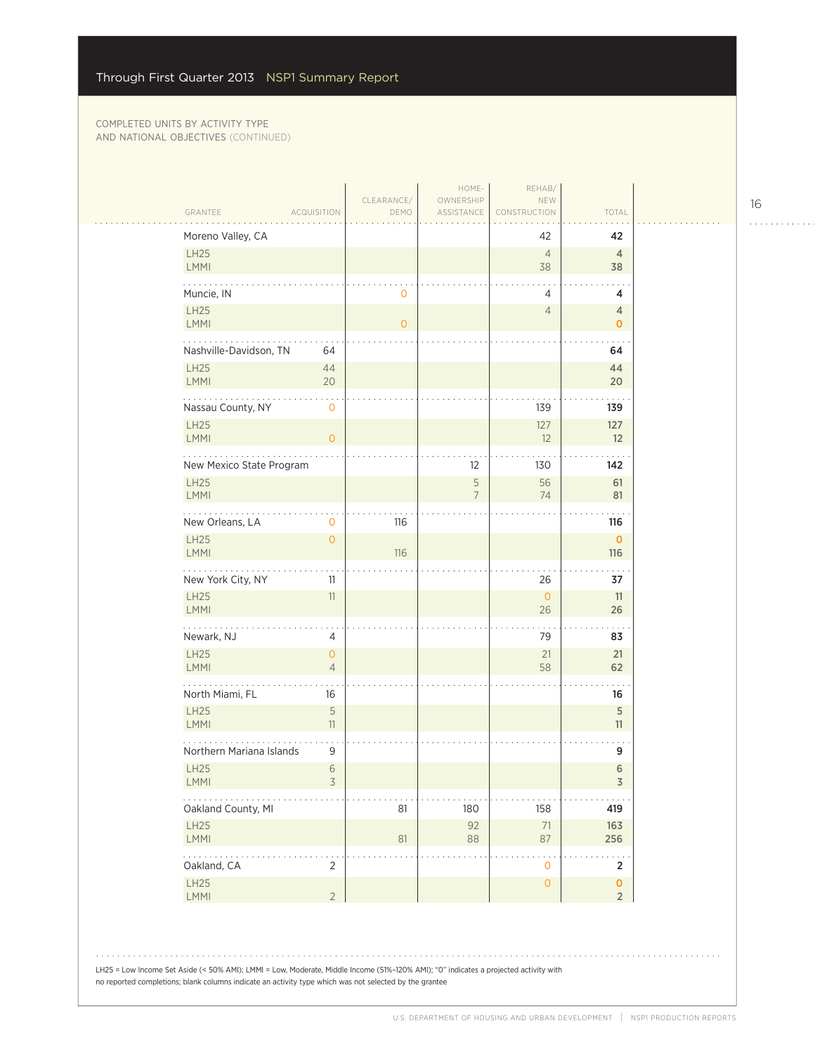| GRANTEE                          | <b>ACQUISITION</b>               | CLEARANCE/<br>DEMO | HOME-<br>OWNERSHIP<br>ASSISTANCE | REHAB/<br>NEW<br>CONSTRUCTION | TOTAL                       |
|----------------------------------|----------------------------------|--------------------|----------------------------------|-------------------------------|-----------------------------|
| Moreno Valley, CA                |                                  |                    |                                  | 42                            | 42                          |
| LH25<br>LMMI                     |                                  |                    |                                  | $\overline{4}$<br>38          | $\overline{4}$<br>38        |
| Muncie, IN                       |                                  | $\mathbf 0$        |                                  | $\overline{4}$                | 4                           |
| LH25<br>LMMI                     |                                  | $\overline{O}$     |                                  | $\overline{4}$                | 4<br>$\mathbf{0}$           |
| Nashville-Davidson, TN           | 64                               |                    |                                  |                               | 64                          |
| LH25<br>LMMI                     | 44<br>20                         |                    |                                  |                               | 44<br>20                    |
| Nassau County, NY                | $\mathbf 0$                      |                    |                                  | 139                           | 139                         |
| <b>LH25</b><br>LMMI              | $\overline{O}$                   |                    |                                  | 127<br>12                     | 127<br>12                   |
| New Mexico State Program         |                                  |                    | 12                               | 130                           | 142                         |
| <b>LH25</b><br>LMMI              |                                  |                    | 5<br>7                           | 56<br>74                      | 61<br>81                    |
| New Orleans, LA                  | 0                                | 116                |                                  |                               | 116                         |
| LH25<br><b>LMMI</b>              | $\overline{O}$                   | 116                |                                  |                               | $\mathbf 0$<br>116          |
| New York City, NY                | 11                               |                    |                                  | 26                            | 37                          |
| <b>LH25</b><br>LMMI              | 11                               |                    |                                  | $\mathbf{O}$<br>26            | 11<br>26                    |
| Newark, NJ                       | 4                                |                    |                                  | 79                            | 83                          |
| LH25<br><b>LMMI</b>              | $\overline{0}$<br>$\overline{4}$ |                    |                                  | 21<br>58                      | 21<br>62                    |
| North Miami, FL                  | 16                               |                    |                                  |                               | 16                          |
| <b>LH25</b><br>LMMI              | 5<br>11                          |                    |                                  |                               | 5<br>11                     |
| Northern Mariana Islands         | 9                                |                    |                                  |                               | 9                           |
| <b>LH25</b><br>LMMI              | 6<br>$\overline{\mathcal{S}}$    |                    |                                  |                               | 6<br>3                      |
| $\ldots$ .<br>Oakland County, MI |                                  | 81                 | 180                              | 158                           | 419                         |
| LH25<br>LMMI                     |                                  | 81                 | 92<br>88                         | $71\,$<br>87                  | 163<br>256                  |
| .<br>Oakland, CA                 | $\overline{2}$                   |                    |                                  | . .<br>$\mathbf 0$            | . .<br>$\mathbf 2$          |
| LH25<br>LMMI                     | $\overline{2}$                   |                    |                                  | $\mathsf{O}$                  | $\pmb{0}$<br>$\overline{2}$ |

LH25 = Low Income Set Aside (< 50% AMI); LMMI = Low, Moderate, Middle Income (51%–120% AMI); "0" indicates a projected activity with no reported completions; blank columns indicate an activity type which was not selected by the grantee

16

. . . . . . . . . . . .

 $1.1.1.1.1.1.1$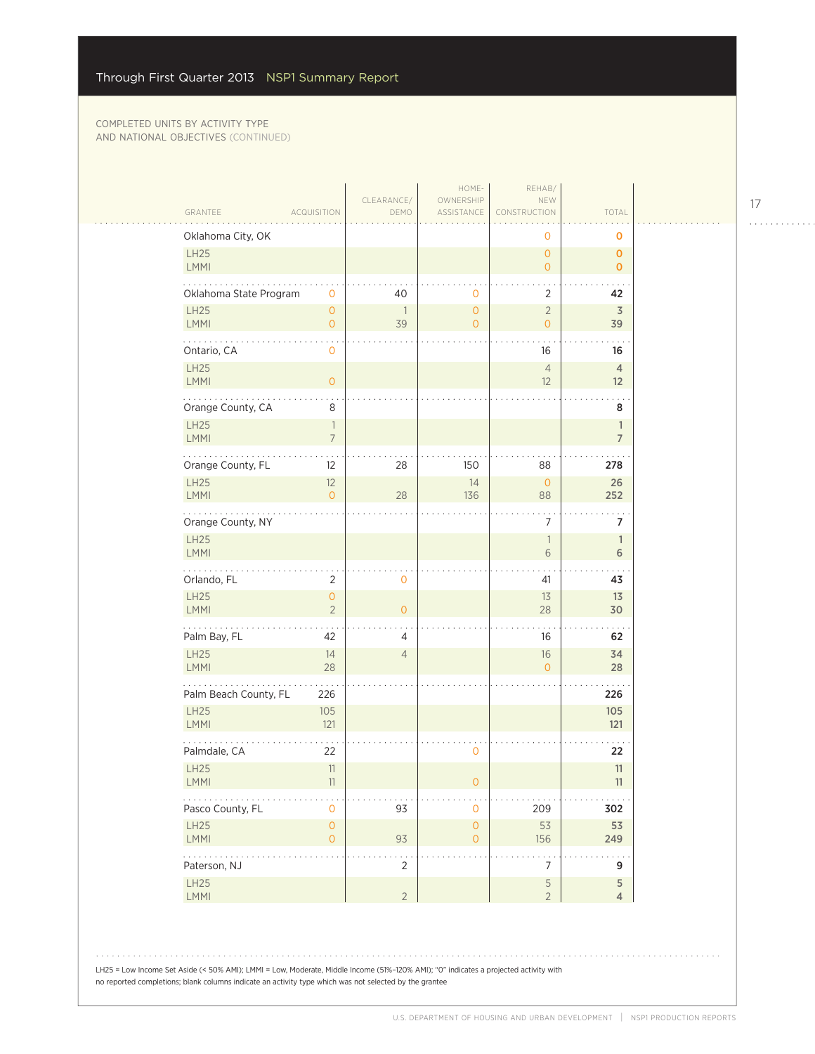|                             |                                            | CLEARANCE/<br>DEMO | HOME-<br>OWNERSHIP                 | REHAB/<br>NEW                    |                                   |  |
|-----------------------------|--------------------------------------------|--------------------|------------------------------------|----------------------------------|-----------------------------------|--|
| GRANTEE                     | <b>ACQUISITION</b>                         |                    | ASSISTANCE                         | CONSTRUCTION                     | TOTAL                             |  |
| Oklahoma City, OK<br>LH25   |                                            |                    |                                    | 0<br>$\circ$                     | O<br>$\mathbf{O}$                 |  |
| LMMI                        |                                            |                    |                                    | $\overline{O}$                   | $\mathbf{0}$                      |  |
| Oklahoma State Program      | $\mathbf 0$                                | 40                 | 0                                  | $\overline{2}$                   | 42                                |  |
| LH25<br>LMMI                | $\mathsf{O}\xspace$<br>$\mathsf{O}\xspace$ | 1<br>39            | $\overline{O}$<br>$\overline{O}$   | $\sqrt{2}$<br>$\overline{O}$     | 3<br>39                           |  |
| .<br>Ontario, CA            | $\overline{0}$                             |                    |                                    | 16                               | 16                                |  |
| <b>LH25</b><br>LMMI         | $\mathbf 0$                                |                    |                                    | $\overline{4}$<br>12             | $\overline{4}$<br>12 <sup>2</sup> |  |
| Orange County, CA           | $\,8\,$                                    |                    |                                    |                                  | 8                                 |  |
| <b>LH25</b><br>LMMI         | $\overline{\phantom{a}}$<br>$\overline{7}$ |                    |                                    |                                  | $\mathbb{1}$<br>$\overline{7}$    |  |
| Orange County, FL           | 12                                         | 28                 | 150                                | 88                               | 278                               |  |
| <b>LH25</b><br><b>LMMI</b>  | $12$<br>$\overline{0}$                     | 28                 | 14<br>136                          | $\circ$<br>88                    | 26<br>252                         |  |
| .<br>Orange County, NY      |                                            |                    |                                    | 7                                | 7                                 |  |
| LH25<br>LMMI                |                                            |                    |                                    | $\overline{\phantom{a}}$<br>6    | $\mathbb{1}$<br>6                 |  |
| Orlando, FL                 | $\overline{2}$                             | $\mathbf 0$        |                                    | 41                               | 43                                |  |
| LH25<br>LMMI                | $\mathsf{O}\xspace$<br>$\overline{2}$      | $\overline{O}$     |                                    | 13<br>28                         | 13<br>30                          |  |
| .<br>Palm Bay, FL           | 42                                         | 4                  |                                    | 16                               | 62                                |  |
| <b>LH25</b><br><b>LMMI</b>  | 14<br>28                                   | $\overline{4}$     |                                    | 16<br>$\overline{0}$             | 34<br>28                          |  |
| Palm Beach County, FL       | 226                                        |                    |                                    |                                  | 226                               |  |
| <b>LH25</b>                 | 105                                        |                    |                                    |                                  | 105                               |  |
| <b>LMMI</b><br>Palmdale, CA | 121<br>22                                  |                    | 0                                  |                                  | 121<br>22                         |  |
| LH25                        | 11                                         |                    |                                    |                                  | 11                                |  |
| <b>LMMI</b><br>.            | 11                                         |                    | 0                                  |                                  | 11                                |  |
| Pasco County, FL<br>LH25    | $\mathsf{O}\xspace$<br>$\mathsf{O}\xspace$ | 93                 | $\mathbf 0$<br>$\mathsf{O}\xspace$ | 209<br>53                        | 302<br>53                         |  |
| LMMI                        | $\mathsf{O}\xspace$                        | 93                 | $\circ$                            | 156                              | 249                               |  |
| .<br>Paterson, NJ           |                                            | $\overline{2}$     |                                    | $\overline{7}$                   | 9                                 |  |
| LH25<br>LMMI                |                                            | $\overline{2}$     |                                    | $\overline{5}$<br>$\overline{2}$ | 5<br>$\overline{4}$               |  |

LH25 = Low Income Set Aside (< 50% AMI); LMMI = Low, Moderate, Middle Income (51%–120% AMI); "0" indicates a projected activity with no reported completions; blank columns indicate an activity type which was not selected by the grantee

17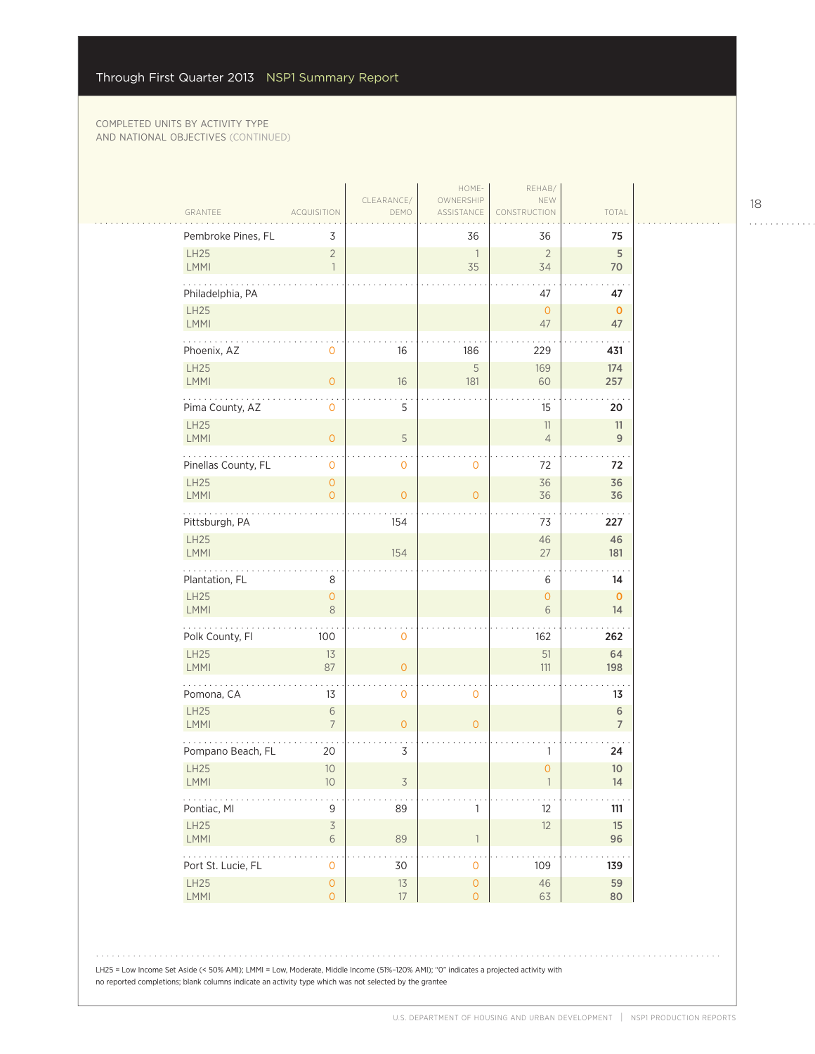|                                                                  |                                    |                    | HOME-                          | REHAB/                        |                          |
|------------------------------------------------------------------|------------------------------------|--------------------|--------------------------------|-------------------------------|--------------------------|
| GRANTEE                                                          | <b>ACQUISITION</b>                 | CLEARANCE/<br>DEMO | OWNERSHIP<br>ASSISTANCE        | NEW<br>CONSTRUCTION           | TOTAL                    |
| Pembroke Pines, FL                                               | 3                                  |                    | 36                             | 36                            | 75                       |
| LH25<br>LMMI                                                     | $\overline{2}$<br>$\overline{1}$   |                    | $\overline{\phantom{a}}$<br>35 | $\overline{2}$<br>34          | $\overline{5}$<br>70     |
| Philadelphia, PA                                                 |                                    |                    |                                | 47                            | 47                       |
| LH25<br>LMMI                                                     |                                    |                    |                                | $\overline{0}$<br>47          | $\mathbf{0}$<br>47       |
| .<br>Phoenix, AZ                                                 | 0                                  | 16                 | 186                            | 229                           | 431                      |
| LH25<br>LMMI                                                     | $\overline{0}$                     | 16                 | 5<br>181                       | 169<br>60                     | 174<br>257               |
| Pima County, AZ                                                  | $\mathsf{O}\xspace$                | 5                  |                                | 15                            | 20                       |
| <b>LH25</b><br>LMMI                                              | $\mathsf{O}\xspace$                | 5                  |                                | 11<br>$\overline{4}$          | 11<br>$9\,$              |
| Pinellas County, FL                                              | 0                                  | 0                  | $\mathbf 0$                    | 72                            | 72                       |
| LH25<br>LMMI                                                     | $\overline{0}$<br>$\overline{0}$   | $\overline{O}$     | $\mathbf{O}$                   | 36<br>36                      | 36<br>36                 |
|                                                                  |                                    |                    |                                |                               |                          |
| Pittsburgh, PA<br>LH25                                           |                                    | 154                |                                | 73<br>46                      | 227<br>46                |
| LMMI                                                             |                                    | 154                |                                | 27                            | 181                      |
| Plantation, FL                                                   | 8                                  |                    |                                | 6                             | 14                       |
| LH25<br>LMMI                                                     | $\mathsf{O}\xspace$<br>$\,8\,$     |                    |                                | $\mathsf O$<br>$\,$ $\,$ $\,$ | $\mathbf 0$<br>14        |
| .<br>Polk County, Fl                                             | 100                                | 0                  |                                | 162                           | 262                      |
| LH25<br>LMMI                                                     | 13<br>87                           | $\overline{O}$     |                                | 51<br>111                     | 64<br>198                |
| Pomona, CA                                                       | 13                                 | 0                  | $\mathbf 0$                    |                               | 13                       |
| LH25<br>LMMI                                                     | $\sqrt{6}$<br>$\overline{7}$       | $\overline{O}$     | $\overline{0}$                 |                               | $\,$ 6<br>$\overline{7}$ |
| Pompano Beach, FL                                                | 20                                 | 3                  |                                | 1                             | 24                       |
| <b>LH25</b><br>LMMI                                              | 10<br>10                           | 3                  |                                | $\mathsf{O}\xspace$           | 10<br>14                 |
| Pontiac, MI                                                      | 9                                  | 89                 | $\mathbf{1}$                   | 12                            | 111                      |
| LH25<br>LMMI                                                     | $\mathsf 3$<br>$\,$ 6 $\,$         | 89                 | $\mathbb{1}$                   | 12                            | 15<br>96                 |
| $\mathbb{Z}^2$ . The set of $\mathbb{Z}^2$<br>Port St. Lucie, FL | $\mathsf{O}\xspace$                | 30                 | $\mathsf{O}\xspace$            | 109                           | 139                      |
| LH25<br>LMMI                                                     | $\mathsf O$<br>$\mathsf{O}\xspace$ | $13$<br>17         | $\mathsf{O}\xspace$<br>$\circ$ | 46<br>63                      | 59<br>80                 |
|                                                                  |                                    |                    |                                |                               |                          |

LH25 = Low Income Set Aside (< 50% AMI); LMMI = Low, Moderate, Middle Income (51%–120% AMI); "0" indicates a projected activity with no reported completions; blank columns indicate an activity type which was not selected by the grantee

18

. . . . . . . . . . . .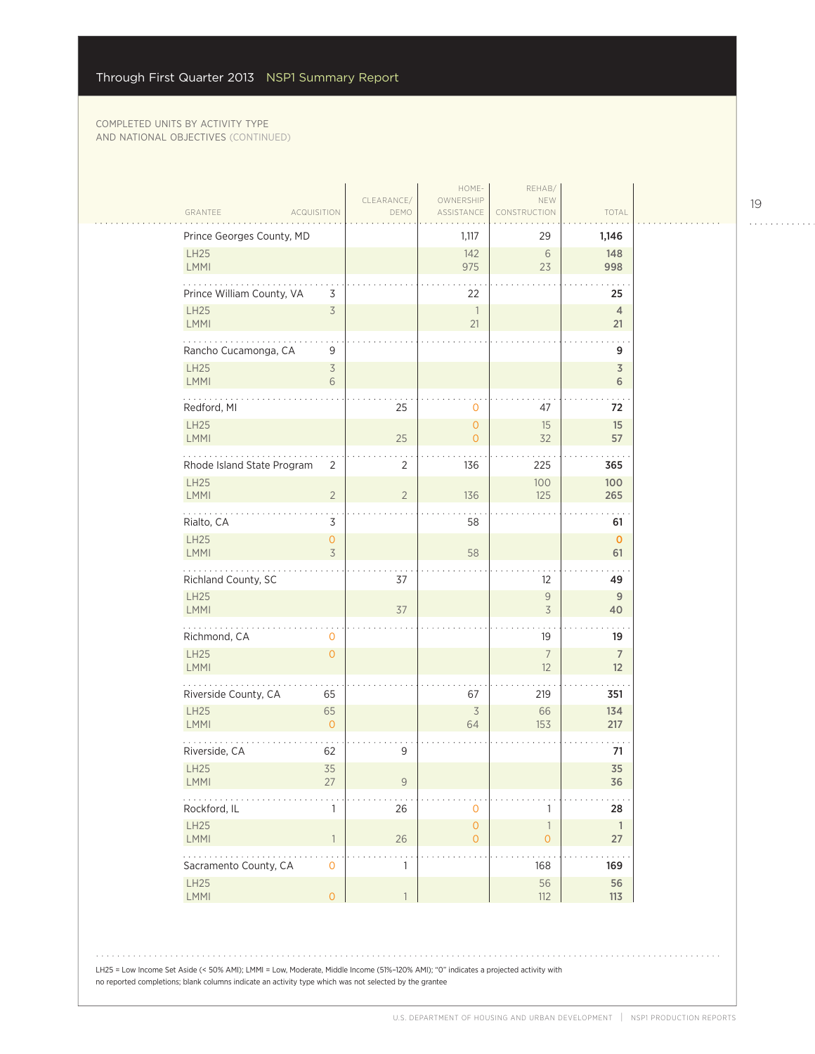|                                                                      | CLEARANCE/     | HOME-<br>OWNERSHIP                    | REHAB/<br>NEW                            |                      |
|----------------------------------------------------------------------|----------------|---------------------------------------|------------------------------------------|----------------------|
| GRANTEE<br><b>ACQUISITION</b>                                        | DEMO           | ASSISTANCE                            | CONSTRUCTION                             | TOTAL                |
| Prince Georges County, MD<br>LH25                                    |                | 1,117                                 | 29                                       | 1,146<br>148         |
| LMMI                                                                 |                | 142<br>975                            | 6<br>23                                  | 998                  |
| Prince William County, VA<br>3                                       |                | 22                                    |                                          | 25                   |
| <b>LH25</b><br>$\overline{5}$<br><b>LMMI</b>                         |                | $\overline{\phantom{a}}$<br>21        |                                          | $\overline{4}$<br>21 |
| .<br>Rancho Cucamonga, CA<br>9                                       |                |                                       |                                          | 9                    |
| <b>LH25</b><br>$\overline{\mathcal{S}}$<br><b>LMMI</b><br>$\sqrt{6}$ |                |                                       |                                          | 3<br>6               |
| Redford, MI                                                          | 25             | $\mathbf 0$                           | 47                                       | 72                   |
| <b>LH25</b><br><b>LMMI</b>                                           | 25             | $\circ$<br>$\mathbf{O}$               | 15<br>32                                 | 15<br>57             |
| Rhode Island State Program<br>$\overline{2}$                         | 2              | 136                                   | 225                                      | 365                  |
| <b>LH25</b><br><b>LMMI</b><br>$\overline{2}$                         | $\overline{2}$ | 136                                   | 100<br>125                               | 100<br>265           |
| $\ldots$<br>Rialto, CA<br>3                                          |                | 58                                    |                                          | 61                   |
| LH25<br>$\mathsf{O}$<br><b>LMMI</b><br>$\overline{3}$                |                | 58                                    |                                          | $\mathbf 0$<br>61    |
| Richland County, SC                                                  | 37             |                                       | 12                                       | 49                   |
| LH25<br><b>LMMI</b>                                                  | 37             |                                       | $\mathsf 9$<br>$\overline{3}$            | 9<br>40              |
| Richmond, CA<br>0                                                    |                |                                       | 19                                       | 19                   |
| LH25<br>$\overline{0}$<br>LMMI                                       |                |                                       | $\overline{7}$<br>12                     | $\overline{7}$<br>12 |
| Riverside County, CA<br>65                                           |                | 67                                    | 219                                      | 351                  |
| <b>LH25</b><br>65<br><b>LMMI</b><br>$\mathbf{O}$                     |                | $\overline{\mathcal{S}}$<br>64        | 66<br>153                                | 134<br>217           |
| Riverside, CA<br>62                                                  | $\mathsf 9$    |                                       |                                          | 71                   |
| LH25<br>35<br><b>LMMI</b><br>27                                      | 9              |                                       |                                          | 35<br>36             |
| Rockford, IL<br>$\mathbf{1}$                                         | 26             | $\mathbf{O}$                          | $\mathbf{1}$                             | 28                   |
| LH25<br>LMMI<br>$\overline{1}$                                       | 26             | $\mathsf{O}\xspace$<br>$\overline{O}$ | $\ensuremath{\mathbb{1}}$<br>$\mathsf O$ | $\overline{1}$<br>27 |
| $\ldots$<br>Sacramento County, CA<br>$\mathsf O$                     | $\mathbb{1}$   |                                       | 168                                      | 169                  |
| LH25<br>LMMI<br>$\mathsf O$                                          | $\mathbf{1}$   |                                       | 56<br>112                                | 56<br>113            |

LH25 = Low Income Set Aside (< 50% AMI); LMMI = Low, Moderate, Middle Income (51%–120% AMI); "0" indicates a projected activity with no reported completions; blank columns indicate an activity type which was not selected by the grantee

19

. . . . . . . . . . . .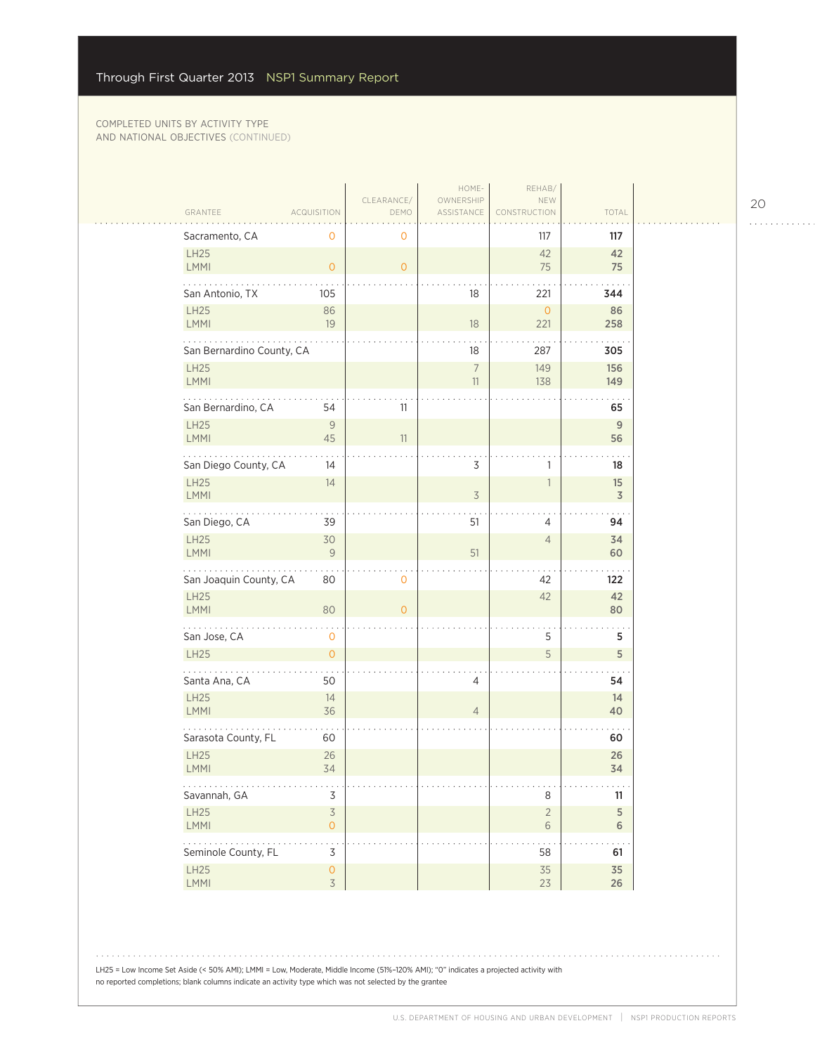|                                                             |                                                 |                     | HOME-                   | REHAB/                     |                     |
|-------------------------------------------------------------|-------------------------------------------------|---------------------|-------------------------|----------------------------|---------------------|
| GRANTEE                                                     | <b>ACQUISITION</b>                              | CLEARANCE/<br>DEMO  | OWNERSHIP<br>ASSISTANCE | NEW<br><b>CONSTRUCTION</b> | TOTAL               |
| Sacramento, CA                                              | $\mathbf 0$                                     | $\mathbf 0$         |                         | 117                        | 117                 |
| LH25<br>LMMI                                                | $\overline{0}$                                  | $\overline{O}$      |                         | 42<br>75                   | 42<br>75            |
| San Antonio, TX                                             | 105                                             |                     | 18                      | 221                        | 344                 |
| LH25<br><b>LMMI</b>                                         | 86<br>19                                        |                     | 18                      | $\overline{O}$<br>221      | 86<br>258           |
| .<br>San Bernardino County, CA                              |                                                 |                     | 18                      | 287                        | 305                 |
| LH25<br><b>LMMI</b>                                         |                                                 |                     | $\overline{7}$<br>11    | 149<br>138                 | 156<br>149          |
| San Bernardino, CA                                          | 54                                              | 11                  |                         |                            | 65                  |
| LH25<br>LMMI                                                | $\mathsf{9}$<br>45                              | 11                  |                         |                            | $\mathsf{9}$<br>56  |
| San Diego County, CA                                        | 14                                              |                     | 3                       | 1                          | 18                  |
| LH25<br>LMMI                                                | 14                                              |                     | $\overline{3}$          | $\mathbbm{1}$              | 15<br>$\mathfrak Z$ |
| $\mathbb{Z}^2$ . The set of $\mathbb{Z}^2$<br>San Diego, CA | 39                                              |                     | 51                      | 4                          | 94                  |
| LH25<br>LMMI                                                | 30<br>9                                         |                     | 51                      | $\overline{4}$             | 34<br>60            |
| San Joaquin County, CA                                      | 80                                              | $\mathsf{O}\xspace$ |                         | 42                         | 122                 |
| LH25<br>LMMI                                                | 80                                              | $\overline{0}$      |                         | 42                         | 42<br>80            |
| .<br>San Jose, CA                                           | $\mathbf 0$                                     |                     |                         | 5                          | 5                   |
| LH25                                                        | $\circ$                                         |                     |                         | 5                          | 5                   |
| Santa Ana, CA                                               | 50                                              |                     | 4                       |                            | 54                  |
| LH25<br><b>LMMI</b>                                         | 14<br>36                                        |                     | $\overline{4}$          |                            | 14<br>40            |
| Sarasota County, FL                                         | 60                                              |                     |                         |                            | 60                  |
| LH25<br><b>LMMI</b>                                         | 26<br>34                                        |                     |                         |                            | 26<br>34            |
| .<br>Savannah, GA                                           | 3                                               |                     |                         | 8                          | .<br>11             |
| LH25<br>LMMI                                                | $\overline{\mathcal{S}}$<br>$\mathsf{O}\xspace$ |                     |                         | $\overline{2}$<br>$6\,$    | $\sqrt{5}$<br>6     |
| .<br>Seminole County, FL                                    | 3                                               |                     |                         | 58                         | 61                  |
| LH25<br>LMMI                                                | $\mathsf O$<br>$\overline{3}$                   |                     |                         | 35<br>23                   | 35<br>$26\,$        |

20 . . . . . . . . . . . .

LH25 = Low Income Set Aside (< 50% AMI); LMMI = Low, Moderate, Middle Income (51%–120% AMI); "0" indicates a projected activity with no reported completions; blank columns indicate an activity type which was not selected by the grantee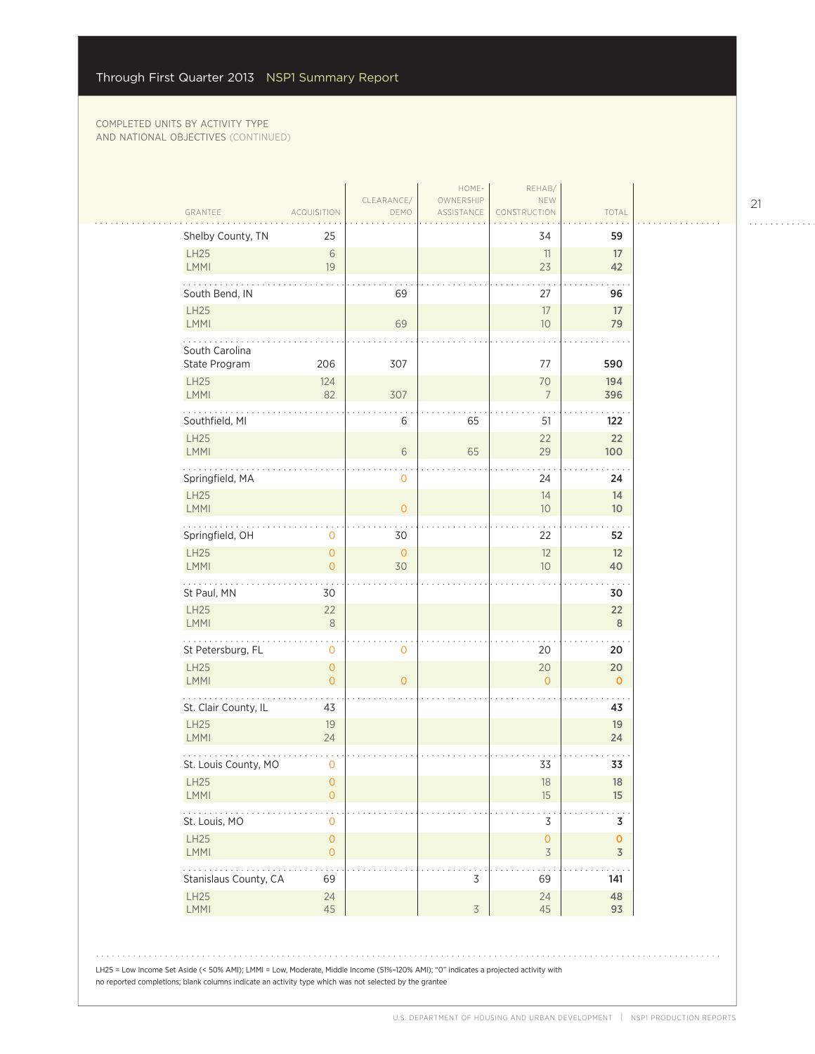#### COMPLETED UNITS BY ACTIVITY TYPE AND NATIONAL OBJECTIVES (CONTINUED)

| Shelby County, TN               | 25                                    |                    |                | 34                       | 59                    |
|---------------------------------|---------------------------------------|--------------------|----------------|--------------------------|-----------------------|
| LH25<br>LMMI                    | $6\,$<br>19                           |                    |                | 11<br>23                 | 17<br>42              |
| South Bend, IN                  |                                       | 69                 |                | 27                       | 96                    |
| LH25<br>LMMI                    |                                       | 69                 |                | 17<br>10 <sup>°</sup>    | 17<br>79              |
| South Carolina<br>State Program | 206                                   | 307                |                | 77                       | 590                   |
| <b>LH25</b><br>LMMI             | 124<br>82                             | 307                |                | 70<br>$\overline{7}$     | 194<br>396            |
| Southfield, MI                  |                                       | 6                  | 65             | 51                       | 122                   |
| <b>LH25</b><br>LMMI             |                                       | 6                  | 65             | 22<br>29                 | 22<br>100             |
| Springfield, MA                 |                                       | 0                  |                | 24                       | 24                    |
| <b>LH25</b><br><b>LMMI</b>      |                                       | $\overline{0}$     |                | 14<br>10 <sup>°</sup>    | 14<br>10 <sup>°</sup> |
| Springfield, OH                 | 0                                     | 30                 |                | 22                       | 52                    |
| <b>LH25</b><br>LMMI             | $\overline{O}$<br>$\mathbf{0}$        | $\mathbf{O}$<br>30 |                | 12<br>10 <sup>°</sup>    | 12<br>40              |
| St Paul, MN                     | 30                                    |                    |                |                          | 30                    |
| LH25<br>LMMI                    | 22<br>$\,8\,$                         |                    |                |                          | 22<br>8               |
| للمتمازي<br>St Petersburg, FL   | 0                                     | 0                  |                | 20                       | 20                    |
| <b>LH25</b><br>LMMI             | $\mathbf{O}$<br>$\overline{O}$        | $\Omega$           |                | 20<br>$\Omega$           | 20<br>$\mathbf 0$     |
| St. Clair County, IL            | 43                                    |                    |                |                          | 43                    |
| <b>LH25</b><br>LMMI             | 19<br>24                              |                    |                |                          | 19<br>24              |
| St. Louis County, MO            | 0                                     |                    |                | 33                       | 33                    |
| LH25<br><b>LMMI</b>             | $\mathsf{O}\xspace$<br>$\overline{O}$ |                    |                | 18<br>15                 | 18<br>15              |
| St. Louis, MO                   | 0                                     |                    |                | 3                        | 3                     |
| <b>LH25</b><br><b>LMMI</b>      | $\overline{O}$<br>$\mathbf{O}$        |                    |                | $\mathsf{O}\xspace$<br>3 | $\pmb{0}$<br>3        |
| Stanislaus County, CA           | 69                                    |                    | 3              | 69                       | 141                   |
| <b>LH25</b><br>LMMI             | 24<br>45                              |                    | $\mathfrak{Z}$ | 24<br>45                 | 48<br>93              |

21

. . . . . . . . . . . .

. . . . . . . . . . .

 $\alpha$  is a second contract of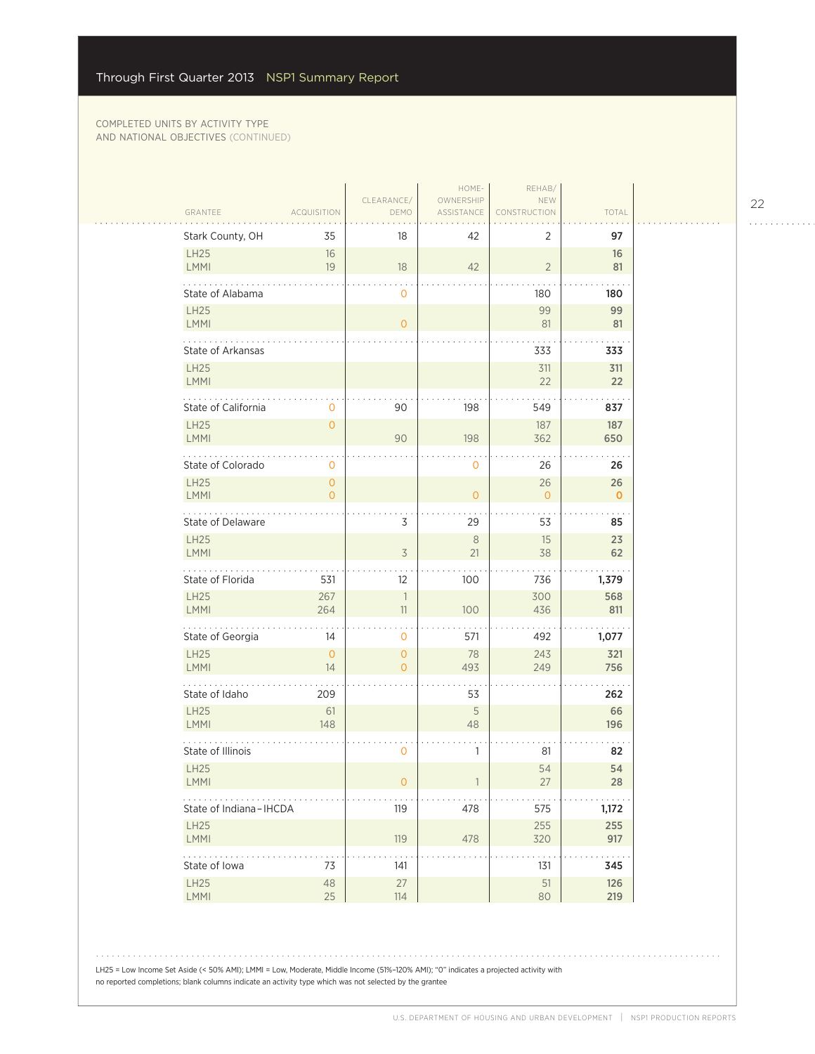|                               |                                  |                                | HOME-                   | REHAB/                   |                   |  |
|-------------------------------|----------------------------------|--------------------------------|-------------------------|--------------------------|-------------------|--|
| GRANTEE                       | <b>ACQUISITION</b>               | CLEARANCE/<br>DEMO             | OWNERSHIP<br>ASSISTANCE | NEW<br><b>ISTRUCTION</b> | TOTAL             |  |
| Stark County, OH              | 35                               | 18                             | 42                      | 2                        | 97                |  |
| LH25<br>LMMI                  | 16<br>19                         | 18                             | 42                      | $\overline{2}$           | 16<br>81          |  |
| State of Alabama              |                                  | 0                              |                         | 180                      | 180               |  |
| <b>LH25</b><br>LMMI           |                                  | $\overline{O}$                 |                         | 99<br>81                 | 99<br>81          |  |
| .<br><b>State of Arkansas</b> |                                  |                                |                         | 333                      | 333               |  |
| <b>LH25</b><br>LMMI           |                                  |                                |                         | 311<br>22                | 311<br>22         |  |
| State of California           | $\mathbf 0$                      | 90                             | 198                     | 549                      | 837               |  |
| <b>LH25</b><br>LMMI           | $\mathbf{O}$                     | 90                             | 198                     | 187<br>362               | 187<br>650        |  |
| State of Colorado             | $\mathbf 0$                      |                                | 0                       | 26                       | 26                |  |
| <b>LH25</b><br>LMMI           | $\overline{O}$<br>$\overline{O}$ |                                | $\overline{O}$          | 26<br>$\mathbf{O}$       | 26<br>$\mathbf 0$ |  |
| .<br>State of Delaware        |                                  | 3                              | 29                      | 53                       | 85                |  |
| <b>LH25</b><br>LMMI           |                                  | $\overline{3}$                 | $\,8\,$<br>21           | 15<br>38                 | 23<br>62          |  |
| State of Florida              | 531                              | 12                             | 100                     | 736                      | 1,379             |  |
| <b>LH25</b><br>LMMI           | 267<br>264                       | 1<br>11                        | 100                     | 300<br>436               | 568<br>811        |  |
| .<br>State of Georgia         | 14                               | 0                              | 571                     | 492                      | 1,077             |  |
| <b>LH25</b><br>LMMI           | $\overline{0}$<br>14             | $\mathbf{O}$<br>$\overline{O}$ | 78<br>493               | 243<br>249               | 321<br>756        |  |
| State of Idaho                | 209                              |                                | 53                      |                          | 262               |  |
| <b>LH25</b><br>LMMI           | 61<br>148                        |                                | 5<br>48                 |                          | 66<br>196         |  |
| State of Illinois             |                                  | 0                              | 1                       | 81                       | 82                |  |
| LH25<br>LMMI                  |                                  | 0                              |                         | 54<br>27                 | 54<br>28          |  |
| .<br>State of Indiana-IHCDA   |                                  | 119                            | 478                     | 575                      | 1,172             |  |
| <b>LH25</b><br>LMMI           |                                  | 119                            | 478                     | 255<br>320               | 255<br>917        |  |
| .<br>State of Iowa            | 73                               | 141                            |                         | 131                      | 345               |  |
| LH25<br>LMMI                  | 48<br>25                         | $27\,$<br>114                  |                         | $51\,$<br>80             | 126<br>219        |  |

22 . . . . . . . . . . . .

LH25 = Low Income Set Aside (< 50% AMI); LMMI = Low, Moderate, Middle Income (51%–120% AMI); "0" indicates a projected activity with no reported completions; blank columns indicate an activity type which was not selected by the grantee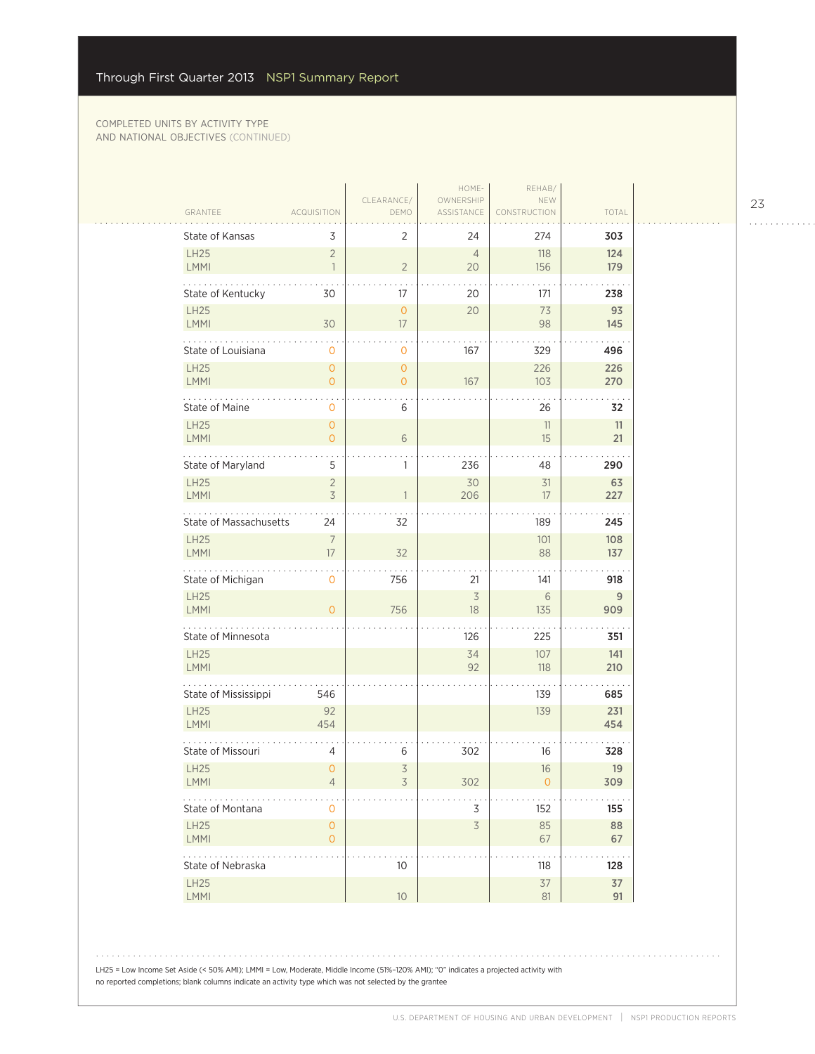#### COMPLETED UNITS BY ACTIVITY TYPE AND NATIONAL OBJECTIVES (CONTINUED)

|                               |                                       | CLEARANCE/                | HOME-<br>OWNERSHIP   | REHAB/<br>NEW     |            |
|-------------------------------|---------------------------------------|---------------------------|----------------------|-------------------|------------|
| GRANTEE                       | <b>ACQUISITION</b>                    | DEMO                      | ASSISTANCE           | TRUCTION          | TOTAL      |
| State of Kansas               | 3                                     | $\overline{2}$            | 24                   | 274               | 303        |
| LH25<br>LMMI                  | $\overline{2}$<br>$\mathbf{1}$        | $\sqrt{2}$                | $\overline{4}$<br>20 | 118<br>156        | 124<br>179 |
| State of Kentucky             | 30                                    | 17                        | 20                   | 171               | 238        |
| LH25<br>LMMI                  | 30                                    | $\circ$<br>17             | 20                   | 73<br>98          | 93<br>145  |
| .<br>State of Louisiana       | 0                                     | 0                         | 167                  | 329               | 496        |
| <b>LH25</b><br>LMMI           | $\overline{0}$<br>$\overline{O}$      | $\circ$<br>$\overline{O}$ | 167                  | 226<br>103        | 226<br>270 |
| State of Maine                | 0                                     | 6                         |                      | 26                | 32         |
| <b>LH25</b><br>LMMI           | $\overline{O}$<br>$\mathbf{O}$        | $\sqrt{6}$                |                      | 11<br>15          | 11<br>21   |
| State of Maryland             | 5                                     | $\mathbf{1}$              | 236                  | 48                | 290        |
| <b>LH25</b><br>LMMI           | $\overline{2}$<br>$\overline{3}$      | 1                         | 30<br>206            | 31<br>17          | 63<br>227  |
| State of Massachusetts        | 24                                    | 32                        |                      | 189               | 245        |
| <b>LH25</b><br><b>LMMI</b>    | $\overline{7}$<br>17                  | 32                        |                      | 101<br>88         | 108<br>137 |
| State of Michigan             | 0                                     | 756                       | 21                   | 141               | 918        |
| <b>LH25</b><br>LMMI           | $\overline{O}$                        | 756                       | $\overline{3}$<br>18 | 6<br>135          | 9<br>909   |
| .<br>State of Minnesota       |                                       |                           | 126                  | 225               | 351        |
| LH25<br><b>LMMI</b>           |                                       |                           | 34<br>92             | 107<br>118        | 141<br>210 |
| State of Mississippi          | 546                                   |                           |                      | 139               | 685        |
| <b>LH25</b><br>LMMI           | 92<br>454                             |                           |                      | 139               | 231<br>454 |
| State of Missouri             | 4                                     | 6                         | 302                  | 16                | 328        |
| LH25<br><b>LMMI</b>           | $\overline{O}$<br>4                   | $\overline{3}$<br>3       | 302                  | 16<br>$\mathbf 0$ | 19<br>309  |
| State of Montana              | $\circ$                               |                           | 3                    | 152               | 155        |
| <b>LH25</b><br>LMMI           | $\mathsf{O}\xspace$<br>$\overline{O}$ |                           | 3                    | 85<br>67          | 88<br>67   |
| $\cdots$<br>State of Nebraska |                                       | 10 <sup>°</sup>           |                      | 118               | 128        |
| LH25<br>LMMI                  |                                       | 10                        |                      | 37<br>$81\,$      | 37<br>91   |

LH25 = Low Income Set Aside (< 50% AMI); LMMI = Low, Moderate, Middle Income (51%-120% AMI); "0" indicates a projected activity with no reported completions; blank columns indicate an activity type which was not selected by the grantee

23

. . . . . . . . . . . .

 $\mathbb{R}$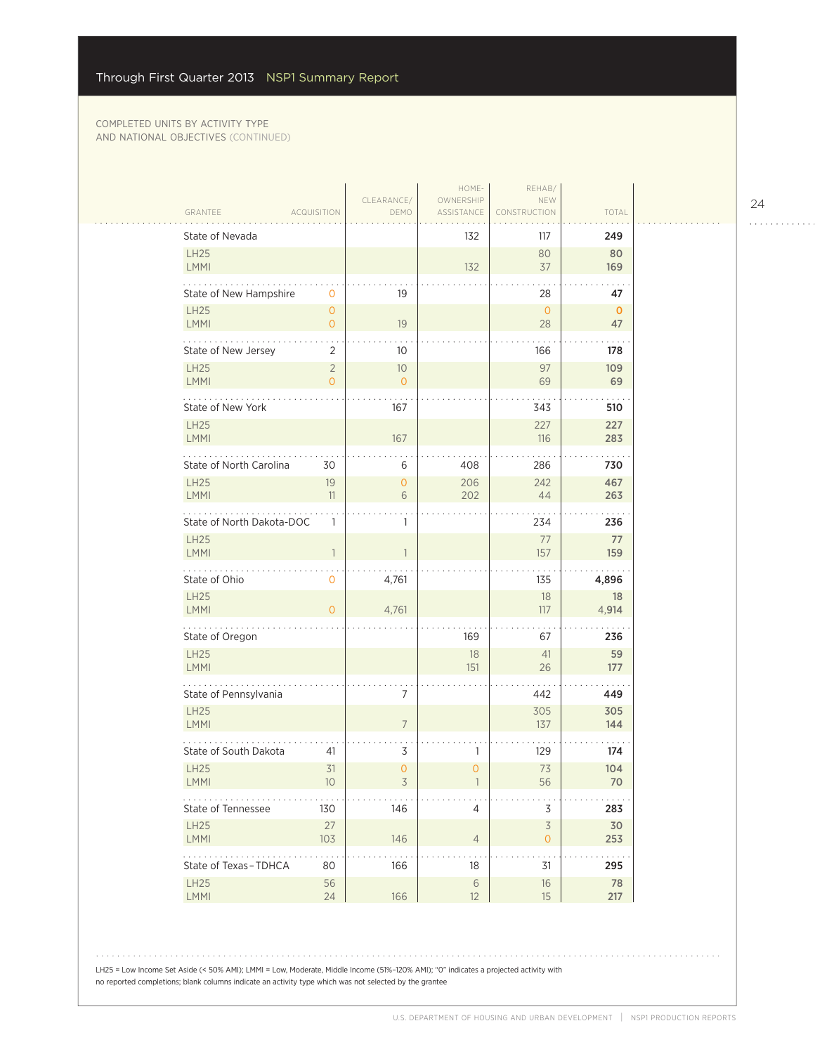#### COMPLETED UNITS BY ACTIVITY TYPE AND NATIONAL OBJECTIVES (CONTINUED)

|                            |                    |                    | HOME-                   | REHAB/                              |              |  |
|----------------------------|--------------------|--------------------|-------------------------|-------------------------------------|--------------|--|
| GRANTEE                    | <b>ACQUISITION</b> | CLEARANCE/<br>DEMO | OWNERSHIP<br>ASSISTANCE | NEW<br>CONSTRUCTION                 | TOTAL        |  |
| State of Nevada            |                    |                    | 132                     | 117                                 |              |  |
| LH25                       |                    |                    |                         | 80                                  | 249<br>80    |  |
| LMMI                       |                    |                    | 132                     | 37                                  | 169          |  |
| State of New Hampshire     | 0                  | 19                 |                         | 28                                  | 47           |  |
| LH25                       | $\mathbf{0}$       |                    |                         | $\mathbf{O}$                        | $\mathbf{0}$ |  |
| LMMI                       | $\overline{0}$     | 19                 |                         | 28                                  | 47           |  |
| .<br>State of New Jersey   | 2                  | 10                 |                         | 166                                 | 178          |  |
| <b>LH25</b>                | $\overline{2}$     | $10$               |                         | 97                                  | 109          |  |
| LMMI                       | $\overline{0}$     | $\overline{O}$     |                         | 69                                  | 69           |  |
| State of New York          |                    | 167                |                         | 343                                 | 510          |  |
| <b>LH25</b>                |                    |                    |                         | 227                                 | 227          |  |
| LMMI                       |                    | 167                |                         | 116                                 | 283          |  |
| State of North Carolina    | 30                 | 6                  | 408                     | 286                                 | 730          |  |
| <b>LH25</b>                | 19                 | 0                  | 206                     | 242                                 | 467          |  |
| <b>LMMI</b>                | 11                 | 6                  | 202                     | 44                                  | 263          |  |
| State of North Dakota-DOC  | 1                  | 1                  |                         | 234                                 | 236          |  |
| <b>LH25</b>                |                    |                    |                         | 77                                  | 77           |  |
| <b>LMMI</b>                | $\overline{1}$     | 1                  |                         | 157                                 | 159          |  |
| State of Ohio              | 0                  | 4,761              |                         | 135                                 | 4,896        |  |
| LH25                       |                    |                    |                         | 18                                  | 18           |  |
| LMMI<br>.                  | $\overline{O}$     | 4,761              |                         | 117                                 | 4,914        |  |
| State of Oregon            |                    |                    | 169                     | 67                                  | 236          |  |
| LH25                       |                    |                    | 18                      | 41                                  | 59           |  |
| <b>LMMI</b>                |                    |                    | 151                     | 26                                  | 177          |  |
| State of Pennsylvania      |                    | 7                  |                         | 442                                 | 449          |  |
| <b>LH25</b><br>LMMI        |                    | $7\overline{ }$    |                         | 305<br>137                          | 305          |  |
|                            |                    |                    |                         |                                     | 144          |  |
| State of South Dakota      | 41                 | 3                  | 1                       | 129                                 | 174          |  |
| <b>LH25</b><br><b>LMMI</b> | 31<br>10           | 0                  | $\mathbf{O}$            | 73<br>56                            | 104<br>70    |  |
|                            |                    | 3                  |                         |                                     |              |  |
| State of Tennessee         | 130                | 146                | $\overline{4}$          | $\overline{\mathsf{S}}$             | 283          |  |
| LH25<br>LMMI               | 27<br>103          | 146                | $\overline{4}$          | $\overline{\mathcal{S}}$<br>$\circ$ | 30<br>253    |  |
| .                          |                    |                    |                         |                                     | .            |  |
| State of Texas-TDHCA       | 80                 | 166                | 18                      | 31                                  | 295          |  |
| LH25<br>LMMI               | 56<br>24           | 166                | $\,$ $\,$ $\,$<br>12    | $16\,$<br>15                        | 78<br>217    |  |
|                            |                    |                    |                         |                                     |              |  |

LH25 = Low Income Set Aside (< 50% AMI); LMMI = Low, Moderate, Middle Income (51%-120% AMI); "0" indicates a projected activity with no reported completions; blank columns indicate an activity type which was not selected by the grantee

24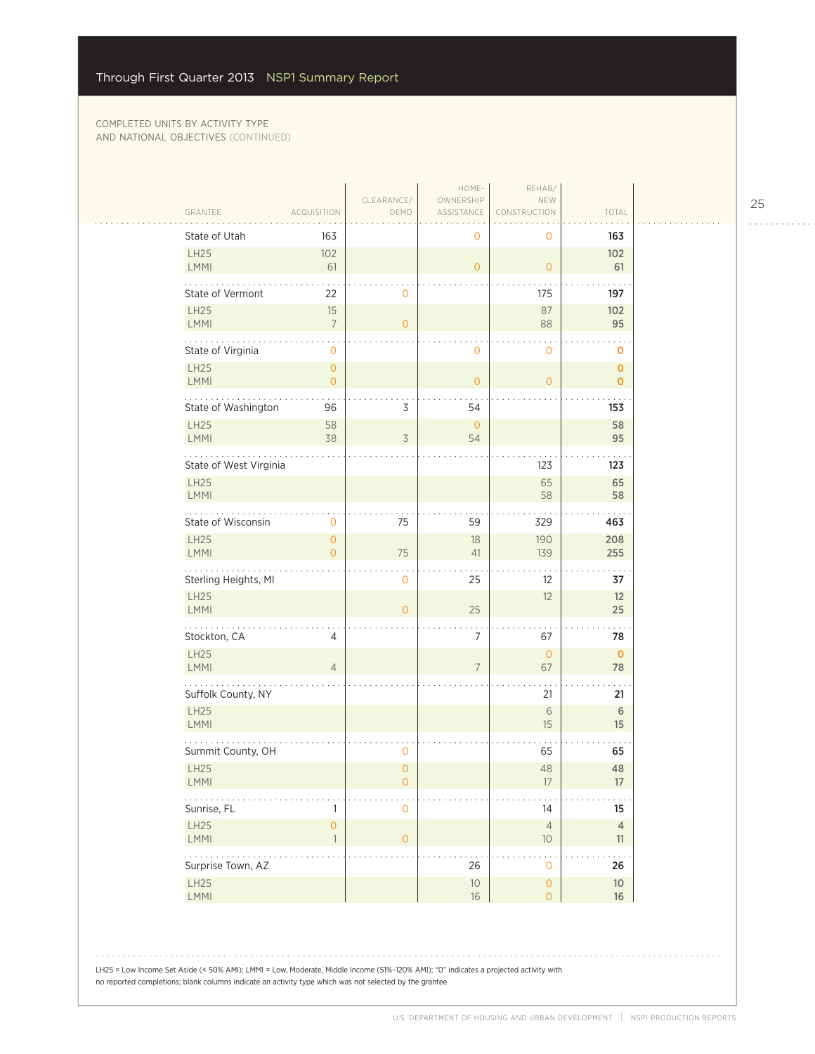| GRANTEE                       | <b>ACQUISITION</b>                  | CLEARANCE/<br>DEMO                    | HOME-<br>OWNERSHIP<br>ASSISTANCE | REHAB/<br>NEW<br>CONSTRUCTION        | TOTAL                 |
|-------------------------------|-------------------------------------|---------------------------------------|----------------------------------|--------------------------------------|-----------------------|
| State of Utah                 | 163                                 |                                       | 0                                | 0                                    | 163                   |
| LH25<br>LMMI                  | 102<br>61                           |                                       | $\overline{O}$                   | $\mathbf{O}$                         | 102<br>61             |
| State of Vermont              | 22                                  | $\circ$                               |                                  | 175                                  | 197                   |
| <b>LH25</b><br><b>LMMI</b>    | 15<br>$\overline{7}$                | $\mathbf{O}$                          |                                  | 87<br>88                             | 102<br>95             |
| State of Virginia             | 0                                   |                                       | 0                                | $\mathbf 0$                          | O                     |
| <b>LH25</b><br>LMMI           | $\mathbf{O}$<br>$\overline{O}$      |                                       | $\mathbf 0$                      | $\mathbf{O}$                         | $\mathbf 0$<br>0      |
| State of Washington           | 96                                  | 3                                     | 54                               |                                      | 153                   |
| <b>LH25</b><br>LMMI           | 58<br>38                            | $\overline{3}$                        | $\circ$<br>54                    |                                      | 58<br>95              |
| State of West Virginia        |                                     |                                       |                                  | 123                                  | 123                   |
| <b>LH25</b><br>LMMI           |                                     |                                       |                                  | 65<br>58                             | 65<br>58              |
| State of Wisconsin            | 0                                   | 75                                    | 59                               | 329                                  | 463                   |
| LH25<br>LMMI                  | $\overline{O}$<br>$\overline{O}$    | 75                                    | 18<br>41                         | 190<br>139                           | 208<br>255            |
| Sterling Heights, MI          |                                     | 0                                     | 25                               | $12 \overline{ }$                    | 37                    |
| <b>LH25</b><br>LMMI           |                                     | $\overline{0}$                        | 25                               | 12                                   | 12<br>25              |
| .<br>Stockton, CA             | 4                                   |                                       | 7                                | 67                                   | 78                    |
| LH25<br>LMMI                  | $\overline{4}$                      |                                       | 7                                | $\mathbf{O}$<br>67                   | $\mathbf 0$<br>78     |
| Suffolk County, NY            |                                     |                                       |                                  | 21                                   | 21                    |
| <b>LH25</b><br>LMMI           |                                     |                                       |                                  | $6\,$<br>15                          | $6\,$<br>15           |
| Summit County, OH             |                                     | 0                                     |                                  | 65                                   | 65                    |
| <b>LH25</b><br>LMMI           |                                     | $\overline{O}$<br>$\mathsf{O}\xspace$ |                                  | 48<br>$17\,$                         | 48<br>17              |
| $\ldots$ .<br>Sunrise, FL     | $\mathbf{1}$                        | $\mathbf 0$                           |                                  | 14                                   | 15                    |
| LH25<br>LMMI                  | $\mathsf{O}\xspace$<br>$\mathbf{1}$ | $\overline{O}$                        |                                  | $\overline{4}$<br>$10$               | $\overline{4}$<br>11  |
| <b>.</b><br>Surprise Town, AZ |                                     |                                       | 26                               | $\ddot{\phantom{0}}$<br>$\mathbf{O}$ | .<br>26               |
| LH25<br>LMMI                  |                                     |                                       | $10$<br>$16\,$                   | $\circ$<br>$\circ$                   | 10 <sup>°</sup><br>16 |

LH25 = Low Income Set Aside (< 50% AMI); LMMI = Low, Moderate, Middle Income (51%–120% AMI); "0" indicates a projected activity with no reported completions; blank columns indicate an activity type which was not selected by the grantee

25

. . . . . . . . . . . .

. . . . . . . . . . .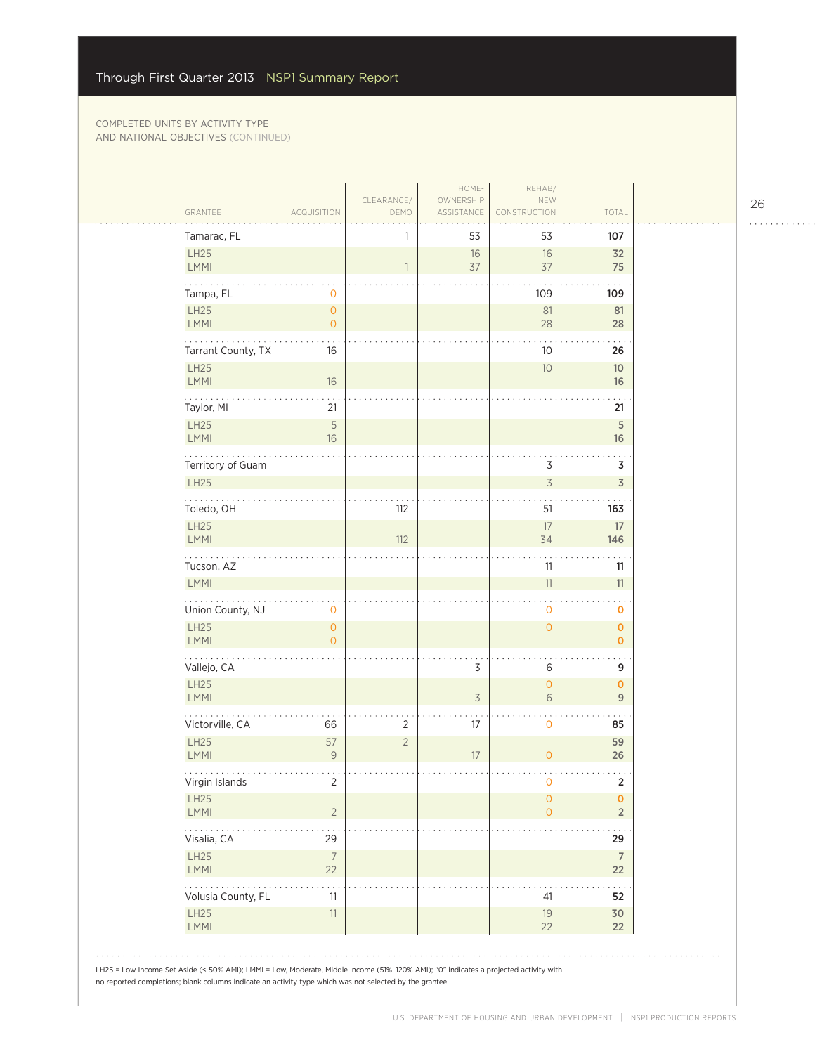| Tamarac, FL                      |                                            | 1              | 53             | 53                                  | 107                        |
|----------------------------------|--------------------------------------------|----------------|----------------|-------------------------------------|----------------------------|
| LH25<br><b>LMMI</b>              |                                            | $\mathbf{1}$   | 16<br>37       | 16<br>37                            | 32<br>75                   |
| Tampa, FL                        | 0                                          |                |                | 109                                 | 109                        |
| LH25<br><b>LMMI</b>              | $\mathsf{O}\xspace$<br>$\mathsf{O}\xspace$ |                |                | 81<br>28                            | 81<br>28                   |
| .<br>Tarrant County, TX          | 16                                         |                |                | 10                                  | 26                         |
| LH25<br><b>LMMI</b>              | 16                                         |                |                | $10$                                | 10 <sup>°</sup><br>16      |
| Taylor, MI                       | 21                                         |                |                |                                     | 21                         |
| <b>LH25</b><br>LMMI              | 5<br>16                                    |                |                |                                     | $\sqrt{5}$<br>16           |
| Territory of Guam<br><b>LH25</b> |                                            |                |                | 3<br>$\mathsf 3$                    | 3<br>$\overline{3}$        |
| .<br>Toledo, OH                  |                                            | 112            |                | 51                                  | 163                        |
| LH25<br>LMMI                     |                                            | 112            |                | 17<br>34                            | 17<br>146                  |
| Tucson, AZ<br>LMMI               |                                            |                |                | 11<br>$11\,$                        | 11<br>11                   |
| Union County, NJ                 | 0                                          |                |                | $\mathbf 0$                         | 0                          |
| LH25<br>LMMI                     | $\mathsf{O}\xspace$<br>$\overline{O}$      |                |                | $\mathsf{O}\xspace$                 | $\pmb{0}$<br>$\mathbf{O}$  |
| .<br>Vallejo, CA                 |                                            |                | 3              | 6                                   | 9                          |
| LH25<br>LMMI                     |                                            |                | $\overline{3}$ | $\mathsf{O}\xspace$<br>6            | $\mathbf 0$<br>$\mathsf g$ |
| Victorville, CA                  | 66                                         | 2              | 17             | $\cdot$<br>$\mathbf 0$              | 85                         |
| <b>LH25</b><br>LMMI              | 57<br>$\mathcal G$                         | $\overline{2}$ | $17\,$         | $\mathsf{O}\xspace$                 | 59<br>26                   |
| Virgin Islands                   | 2                                          |                |                | O                                   | 2                          |
| LH25<br>LMMI                     | $\sqrt{2}$                                 |                |                | $\mathsf{O}\xspace$<br>$\mathbf{O}$ | 0<br>$\overline{2}$        |
| Visalia, CA                      | 29                                         |                |                |                                     | 29                         |
| <b>LH25</b><br><b>LMMI</b>       | $\overline{7}$<br>22                       |                |                |                                     | $\overline{7}$<br>22       |
| Volusia County, FL               | 11                                         |                |                | 41                                  | 52                         |
| <b>LH25</b><br><b>LMMI</b>       | $11\,$                                     |                |                | 19<br>22                            | 30<br>22                   |

26

. . . . . . . . . . . .

 $\mathbb{R}$ 

 $\sim$   $\sim$